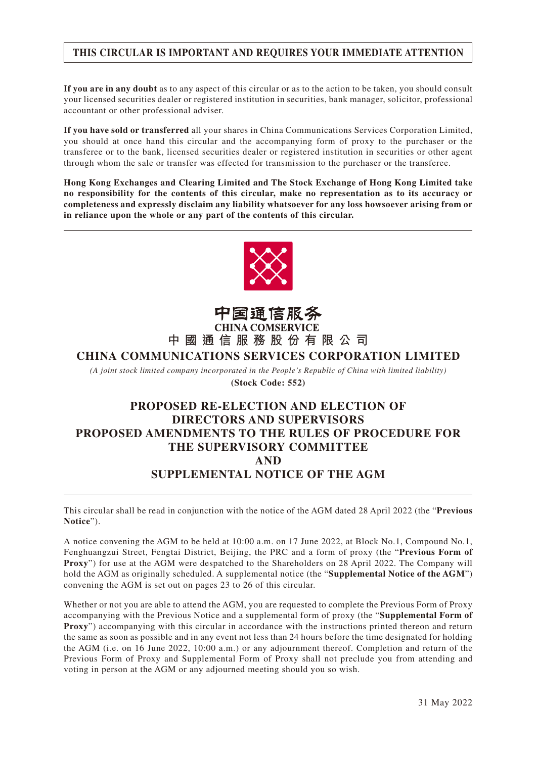#### **THIS CIRCULAR IS IMPORTANT AND REQUIRES YOUR IMMEDIATE ATTENTION**

**If you are in any doubt** as to any aspect of this circular or as to the action to be taken, you should consult your licensed securities dealer or registered institution in securities, bank manager, solicitor, professional accountant or other professional adviser.

**If you have sold or transferred** all your shares in China Communications Services Corporation Limited, you should at once hand this circular and the accompanying form of proxy to the purchaser or the transferee or to the bank, licensed securities dealer or registered institution in securities or other agent through whom the sale or transfer was effected for transmission to the purchaser or the transferee.

**Hong Kong Exchanges and Clearing Limited and The Stock Exchange of Hong Kong Limited take no responsibility for the contents of this circular, make no representation as to its accuracy or completeness and expressly disclaim any liability whatsoever for any loss howsoever arising from or in reliance upon the whole or any part of the contents of this circular.**



# 中国通信服务<br>CHINA COMSERVICE **中國通信服務股份有限公司**

#### **CHINA COMMUNICATIONS SERVICES CORPORATION LIMITED**

*(A joint stock limited company incorporated in the People's Republic of China with limited liability)* **(Stock Code: 552)**

## **PROPOSED RE-ELECTION AND ELECTION OF DIRECTORS AND SUPERVISORS PROPOSED AMENDMENTS TO THE RULES OF PROCEDURE FOR THE SUPERVISORY COMMITTEE AND SUPPLEMENTAL NOTICE OF THE AGM**

This circular shall be read in conjunction with the notice of the AGM dated 28 April 2022 (the "**Previous Notice**").

A notice convening the AGM to be held at 10:00 a.m. on 17 June 2022, at Block No.1, Compound No.1, Fenghuangzui Street, Fengtai District, Beijing, the PRC and a form of proxy (the "**Previous Form of Proxy**") for use at the AGM were despatched to the Shareholders on 28 April 2022. The Company will hold the AGM as originally scheduled. A supplemental notice (the "**Supplemental Notice of the AGM**") convening the AGM is set out on pages 23 to 26 of this circular.

Whether or not you are able to attend the AGM, you are requested to complete the Previous Form of Proxy accompanying with the Previous Notice and a supplemental form of proxy (the "**Supplemental Form of Proxy**") accompanying with this circular in accordance with the instructions printed thereon and return the same as soon as possible and in any event not less than 24 hours before the time designated for holding the AGM (i.e. on 16 June 2022, 10:00 a.m.) or any adjournment thereof. Completion and return of the Previous Form of Proxy and Supplemental Form of Proxy shall not preclude you from attending and voting in person at the AGM or any adjourned meeting should you so wish.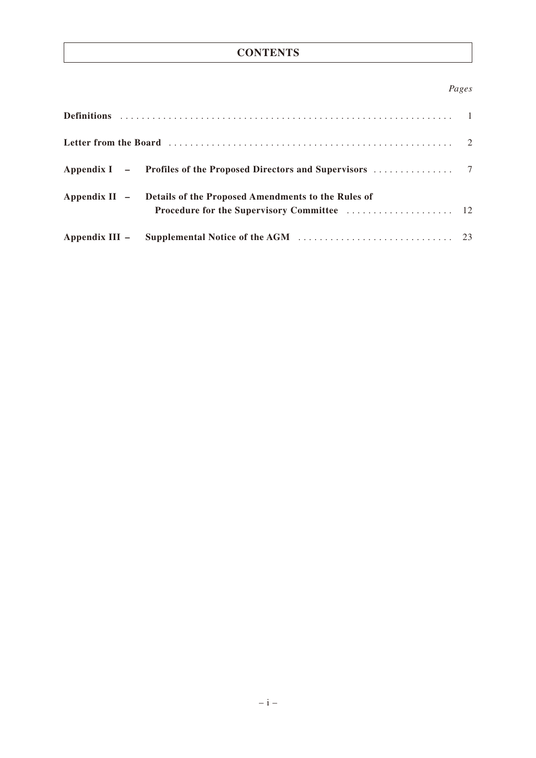#### **CONTENTS**

#### *Pages*

| Appendix II - Details of the Proposed Amendments to the Rules of |  |
|------------------------------------------------------------------|--|
|                                                                  |  |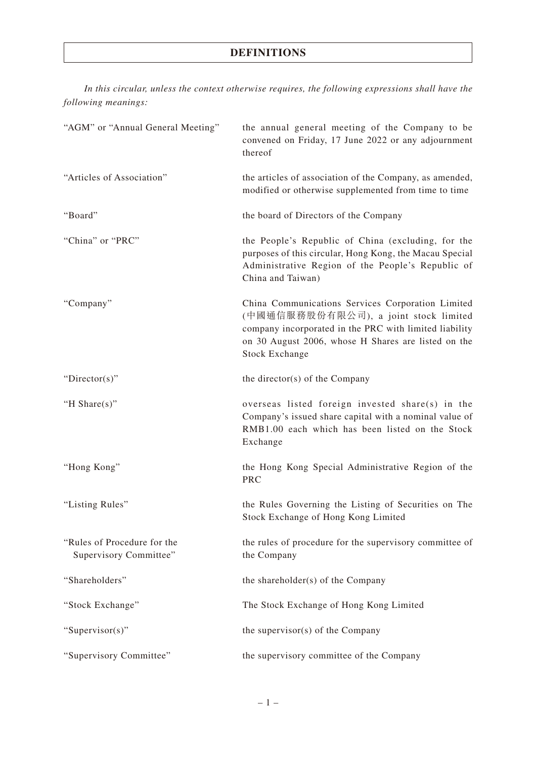## **DEFINITIONS**

*In this circular, unless the context otherwise requires, the following expressions shall have the following meanings:*

| "AGM" or "Annual General Meeting"                     | the annual general meeting of the Company to be<br>convened on Friday, 17 June 2022 or any adjournment<br>thereof                                                                                                                    |
|-------------------------------------------------------|--------------------------------------------------------------------------------------------------------------------------------------------------------------------------------------------------------------------------------------|
| "Articles of Association"                             | the articles of association of the Company, as amended,<br>modified or otherwise supplemented from time to time                                                                                                                      |
| "Board"                                               | the board of Directors of the Company                                                                                                                                                                                                |
| "China" or "PRC"                                      | the People's Republic of China (excluding, for the<br>purposes of this circular, Hong Kong, the Macau Special<br>Administrative Region of the People's Republic of<br>China and Taiwan)                                              |
| "Company"                                             | China Communications Services Corporation Limited<br>(中國通信服務股份有限公司), a joint stock limited<br>company incorporated in the PRC with limited liability<br>on 30 August 2006, whose H Shares are listed on the<br><b>Stock Exchange</b> |
| " $Directory$ "                                       | the director(s) of the Company                                                                                                                                                                                                       |
| "H Share $(s)$ "                                      | overseas listed foreign invested share(s) in the<br>Company's issued share capital with a nominal value of<br>RMB1.00 each which has been listed on the Stock<br>Exchange                                                            |
| "Hong Kong"                                           | the Hong Kong Special Administrative Region of the<br><b>PRC</b>                                                                                                                                                                     |
| "Listing Rules"                                       | the Rules Governing the Listing of Securities on The<br>Stock Exchange of Hong Kong Limited                                                                                                                                          |
| "Rules of Procedure for the<br>Supervisory Committee" | the rules of procedure for the supervisory committee of<br>the Company                                                                                                                                                               |
| "Shareholders"                                        | the shareholder(s) of the Company                                                                                                                                                                                                    |
| "Stock Exchange"                                      | The Stock Exchange of Hong Kong Limited                                                                                                                                                                                              |
| "Supervisor(s)"                                       | the supervisor(s) of the Company                                                                                                                                                                                                     |
| "Supervisory Committee"                               | the supervisory committee of the Company                                                                                                                                                                                             |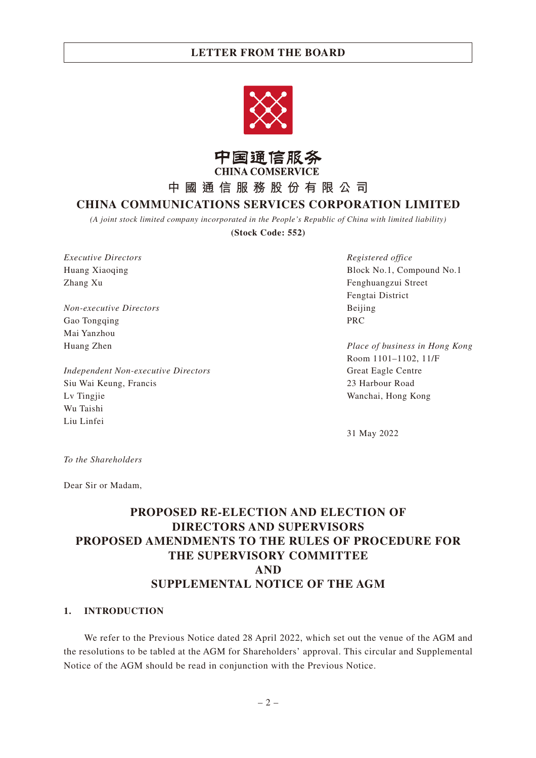



**中國通信服務股份有限公司**

## **CHINA COMMUNICATIONS SERVICES CORPORATION LIMITED**

*(A joint stock limited company incorporated in the People's Republic of China with limited liability)*

**(Stock Code: 552)**

*Executive Directors* Huang Xiaoqing Zhang Xu

*Non-executive Directors* Gao Tongqing Mai Yanzhou Huang Zhen

*Independent Non-executive Directors* Siu Wai Keung, Francis Lv Tingjie Wu Taishi Liu Linfei

*Registered office* Block No.1, Compound No.1 Fenghuangzui Street Fengtai District Beijing PRC

*Place of business in Hong Kong* Room 1101–1102, 11/F Great Eagle Centre 23 Harbour Road Wanchai, Hong Kong

31 May 2022

*To the Shareholders*

Dear Sir or Madam,

## **PROPOSED RE-ELECTION AND ELECTION OF DIRECTORS AND SUPERVISORS PROPOSED AMENDMENTS TO THE RULES OF PROCEDURE FOR THE SUPERVISORY COMMITTEE AND SUPPLEMENTAL NOTICE OF THE AGM**

#### **1. INTRODUCTION**

We refer to the Previous Notice dated 28 April 2022, which set out the venue of the AGM and the resolutions to be tabled at the AGM for Shareholders' approval. This circular and Supplemental Notice of the AGM should be read in conjunction with the Previous Notice.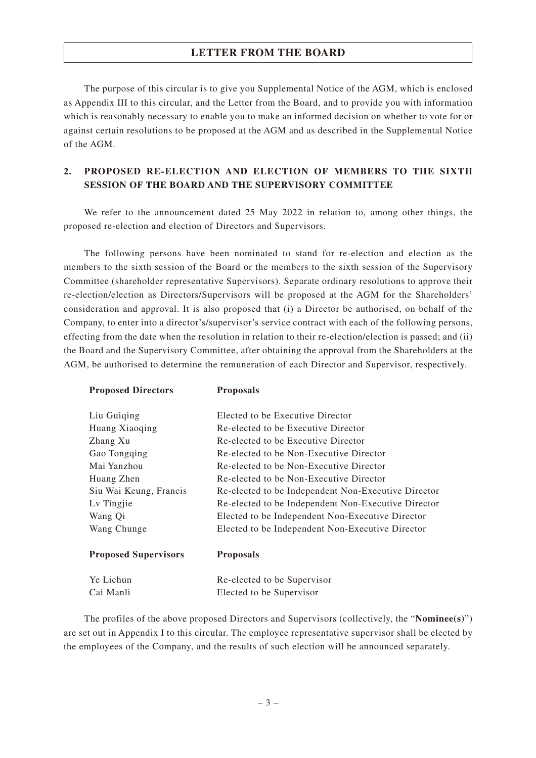The purpose of this circular is to give you Supplemental Notice of the AGM, which is enclosed as Appendix III to this circular, and the Letter from the Board, and to provide you with information which is reasonably necessary to enable you to make an informed decision on whether to vote for or against certain resolutions to be proposed at the AGM and as described in the Supplemental Notice of the AGM.

#### **2. PROPOSED RE-ELECTION AND ELECTION OF MEMBERS TO THE SIXTH SESSION OF THE BOARD AND THE SUPERVISORY COMMITTEE**

We refer to the announcement dated 25 May 2022 in relation to, among other things, the proposed re-election and election of Directors and Supervisors.

The following persons have been nominated to stand for re-election and election as the members to the sixth session of the Board or the members to the sixth session of the Supervisory Committee (shareholder representative Supervisors). Separate ordinary resolutions to approve their re-election/election as Directors/Supervisors will be proposed at the AGM for the Shareholders' consideration and approval. It is also proposed that (i) a Director be authorised, on behalf of the Company, to enter into a director's/supervisor's service contract with each of the following persons, effecting from the date when the resolution in relation to their re-election/election is passed; and (ii) the Board and the Supervisory Committee, after obtaining the approval from the Shareholders at the AGM, be authorised to determine the remuneration of each Director and Supervisor, respectively.

**Proposed Directors Proposals**

| Liu Guiging                 | Elected to be Executive Director                    |
|-----------------------------|-----------------------------------------------------|
| Huang Xiaoqing              | Re-elected to be Executive Director                 |
| Zhang Xu                    | Re-elected to be Executive Director                 |
| Gao Tongqing                | Re-elected to be Non-Executive Director             |
| Mai Yanzhou                 | Re-elected to be Non-Executive Director             |
| Huang Zhen                  | Re-elected to be Non-Executive Director             |
| Siu Wai Keung, Francis      | Re-elected to be Independent Non-Executive Director |
| Lv Tingjie                  | Re-elected to be Independent Non-Executive Director |
| Wang Qi                     | Elected to be Independent Non-Executive Director    |
| Wang Chunge                 | Elected to be Independent Non-Executive Director    |
| <b>Proposed Supervisors</b> | <b>Proposals</b>                                    |
| Ye Lichun                   | Re-elected to be Supervisor                         |
| Cai Manli                   | Elected to be Supervisor                            |

The profiles of the above proposed Directors and Supervisors (collectively, the "**Nominee(s)**") are set out in Appendix I to this circular. The employee representative supervisor shall be elected by the employees of the Company, and the results of such election will be announced separately.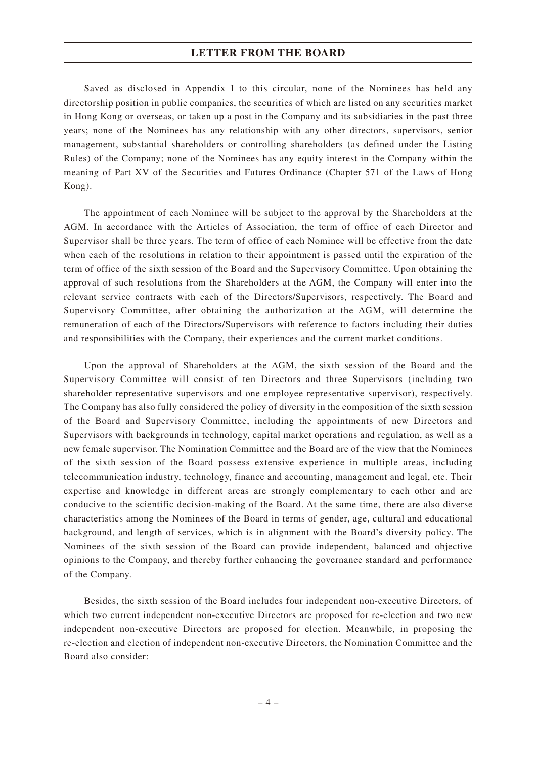Saved as disclosed in Appendix I to this circular, none of the Nominees has held any directorship position in public companies, the securities of which are listed on any securities market in Hong Kong or overseas, or taken up a post in the Company and its subsidiaries in the past three years; none of the Nominees has any relationship with any other directors, supervisors, senior management, substantial shareholders or controlling shareholders (as defined under the Listing Rules) of the Company; none of the Nominees has any equity interest in the Company within the meaning of Part XV of the Securities and Futures Ordinance (Chapter 571 of the Laws of Hong Kong).

The appointment of each Nominee will be subject to the approval by the Shareholders at the AGM. In accordance with the Articles of Association, the term of office of each Director and Supervisor shall be three years. The term of office of each Nominee will be effective from the date when each of the resolutions in relation to their appointment is passed until the expiration of the term of office of the sixth session of the Board and the Supervisory Committee. Upon obtaining the approval of such resolutions from the Shareholders at the AGM, the Company will enter into the relevant service contracts with each of the Directors/Supervisors, respectively. The Board and Supervisory Committee, after obtaining the authorization at the AGM, will determine the remuneration of each of the Directors/Supervisors with reference to factors including their duties and responsibilities with the Company, their experiences and the current market conditions.

Upon the approval of Shareholders at the AGM, the sixth session of the Board and the Supervisory Committee will consist of ten Directors and three Supervisors (including two shareholder representative supervisors and one employee representative supervisor), respectively. The Company has also fully considered the policy of diversity in the composition of the sixth session of the Board and Supervisory Committee, including the appointments of new Directors and Supervisors with backgrounds in technology, capital market operations and regulation, as well as a new female supervisor. The Nomination Committee and the Board are of the view that the Nominees of the sixth session of the Board possess extensive experience in multiple areas, including telecommunication industry, technology, finance and accounting, management and legal, etc. Their expertise and knowledge in different areas are strongly complementary to each other and are conducive to the scientific decision-making of the Board. At the same time, there are also diverse characteristics among the Nominees of the Board in terms of gender, age, cultural and educational background, and length of services, which is in alignment with the Board's diversity policy. The Nominees of the sixth session of the Board can provide independent, balanced and objective opinions to the Company, and thereby further enhancing the governance standard and performance of the Company.

Besides, the sixth session of the Board includes four independent non-executive Directors, of which two current independent non-executive Directors are proposed for re-election and two new independent non-executive Directors are proposed for election. Meanwhile, in proposing the re-election and election of independent non-executive Directors, the Nomination Committee and the Board also consider: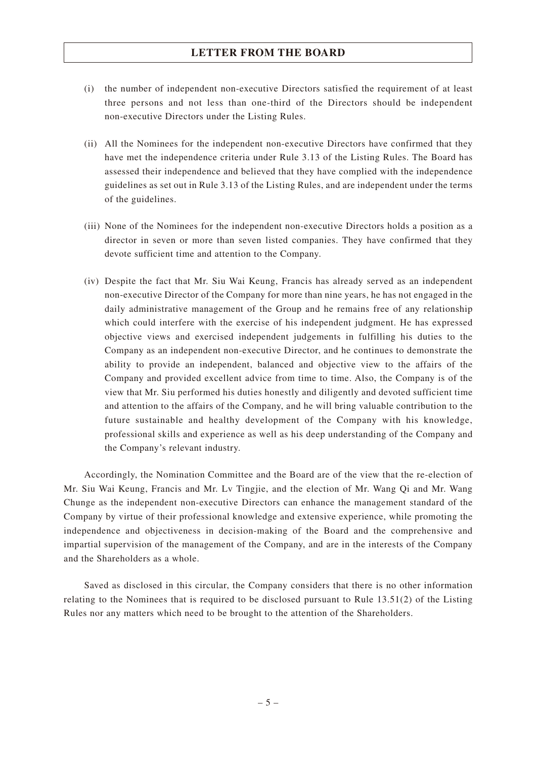- (i) the number of independent non-executive Directors satisfied the requirement of at least three persons and not less than one-third of the Directors should be independent non-executive Directors under the Listing Rules.
- (ii) All the Nominees for the independent non-executive Directors have confirmed that they have met the independence criteria under Rule 3.13 of the Listing Rules. The Board has assessed their independence and believed that they have complied with the independence guidelines as set out in Rule 3.13 of the Listing Rules, and are independent under the terms of the guidelines.
- (iii) None of the Nominees for the independent non-executive Directors holds a position as a director in seven or more than seven listed companies. They have confirmed that they devote sufficient time and attention to the Company.
- (iv) Despite the fact that Mr. Siu Wai Keung, Francis has already served as an independent non-executive Director of the Company for more than nine years, he has not engaged in the daily administrative management of the Group and he remains free of any relationship which could interfere with the exercise of his independent judgment. He has expressed objective views and exercised independent judgements in fulfilling his duties to the Company as an independent non-executive Director, and he continues to demonstrate the ability to provide an independent, balanced and objective view to the affairs of the Company and provided excellent advice from time to time. Also, the Company is of the view that Mr. Siu performed his duties honestly and diligently and devoted sufficient time and attention to the affairs of the Company, and he will bring valuable contribution to the future sustainable and healthy development of the Company with his knowledge, professional skills and experience as well as his deep understanding of the Company and the Company's relevant industry.

Accordingly, the Nomination Committee and the Board are of the view that the re-election of Mr. Siu Wai Keung, Francis and Mr. Lv Tingjie, and the election of Mr. Wang Qi and Mr. Wang Chunge as the independent non-executive Directors can enhance the management standard of the Company by virtue of their professional knowledge and extensive experience, while promoting the independence and objectiveness in decision-making of the Board and the comprehensive and impartial supervision of the management of the Company, and are in the interests of the Company and the Shareholders as a whole.

Saved as disclosed in this circular, the Company considers that there is no other information relating to the Nominees that is required to be disclosed pursuant to Rule 13.51(2) of the Listing Rules nor any matters which need to be brought to the attention of the Shareholders.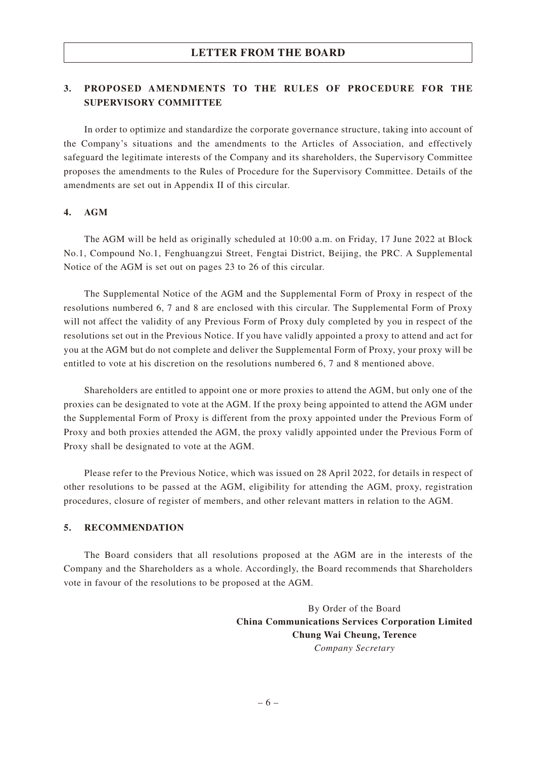#### **3. PROPOSED AMENDMENTS TO THE RULES OF PROCEDURE FOR THE SUPERVISORY COMMITTEE**

In order to optimize and standardize the corporate governance structure, taking into account of the Company's situations and the amendments to the Articles of Association, and effectively safeguard the legitimate interests of the Company and its shareholders, the Supervisory Committee proposes the amendments to the Rules of Procedure for the Supervisory Committee. Details of the amendments are set out in Appendix II of this circular.

#### **4. AGM**

The AGM will be held as originally scheduled at 10:00 a.m. on Friday, 17 June 2022 at Block No.1, Compound No.1, Fenghuangzui Street, Fengtai District, Beijing, the PRC. A Supplemental Notice of the AGM is set out on pages 23 to 26 of this circular.

The Supplemental Notice of the AGM and the Supplemental Form of Proxy in respect of the resolutions numbered 6, 7 and 8 are enclosed with this circular. The Supplemental Form of Proxy will not affect the validity of any Previous Form of Proxy duly completed by you in respect of the resolutions set out in the Previous Notice. If you have validly appointed a proxy to attend and act for you at the AGM but do not complete and deliver the Supplemental Form of Proxy, your proxy will be entitled to vote at his discretion on the resolutions numbered 6, 7 and 8 mentioned above.

Shareholders are entitled to appoint one or more proxies to attend the AGM, but only one of the proxies can be designated to vote at the AGM. If the proxy being appointed to attend the AGM under the Supplemental Form of Proxy is different from the proxy appointed under the Previous Form of Proxy and both proxies attended the AGM, the proxy validly appointed under the Previous Form of Proxy shall be designated to vote at the AGM.

Please refer to the Previous Notice, which was issued on 28 April 2022, for details in respect of other resolutions to be passed at the AGM, eligibility for attending the AGM, proxy, registration procedures, closure of register of members, and other relevant matters in relation to the AGM.

#### **5. RECOMMENDATION**

The Board considers that all resolutions proposed at the AGM are in the interests of the Company and the Shareholders as a whole. Accordingly, the Board recommends that Shareholders vote in favour of the resolutions to be proposed at the AGM.

> By Order of the Board **China Communications Services Corporation Limited Chung Wai Cheung, Terence** *Company Secretary*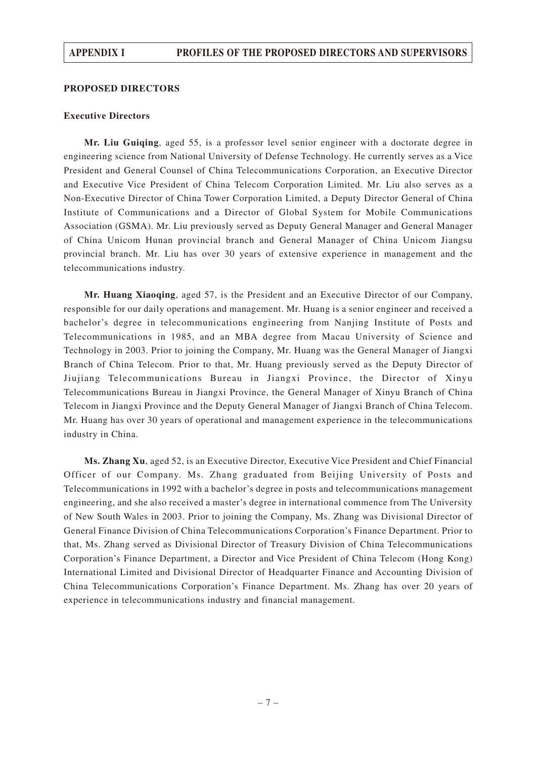#### **PROPOSED DIRECTORS**

#### **Executive Directors**

**Mr. Liu Guiqing**, aged 55, is a professor level senior engineer with a doctorate degree in engineering science from National University of Defense Technology. He currently serves as a Vice President and General Counsel of China Telecommunications Corporation, an Executive Director and Executive Vice President of China Telecom Corporation Limited. Mr. Liu also serves as a Non-Executive Director of China Tower Corporation Limited, a Deputy Director General of China Institute of Communications and a Director of Global System for Mobile Communications Association (GSMA). Mr. Liu previously served as Deputy General Manager and General Manager of China Unicom Hunan provincial branch and General Manager of China Unicom Jiangsu provincial branch. Mr. Liu has over 30 years of extensive experience in management and the telecommunications industry.

**Mr. Huang Xiaoqing**, aged 57, is the President and an Executive Director of our Company, responsible for our daily operations and management. Mr. Huang is a senior engineer and received a bachelor's degree in telecommunications engineering from Nanjing Institute of Posts and Telecommunications in 1985, and an MBA degree from Macau University of Science and Technology in 2003. Prior to joining the Company, Mr. Huang was the General Manager of Jiangxi Branch of China Telecom. Prior to that, Mr. Huang previously served as the Deputy Director of Jiujiang Telecommunications Bureau in Jiangxi Province, the Director of Xinyu Telecommunications Bureau in Jiangxi Province, the General Manager of Xinyu Branch of China Telecom in Jiangxi Province and the Deputy General Manager of Jiangxi Branch of China Telecom. Mr. Huang has over 30 years of operational and management experience in the telecommunications industry in China.

**Ms. Zhang Xu**, aged 52, is an Executive Director, Executive Vice President and Chief Financial Officer of our Company. Ms. Zhang graduated from Beijing University of Posts and Telecommunications in 1992 with a bachelor's degree in posts and telecommunications management engineering, and she also received a master's degree in international commence from The University of New South Wales in 2003. Prior to joining the Company, Ms. Zhang was Divisional Director of General Finance Division of China Telecommunications Corporation's Finance Department. Prior to that, Ms. Zhang served as Divisional Director of Treasury Division of China Telecommunications Corporation's Finance Department, a Director and Vice President of China Telecom (Hong Kong) International Limited and Divisional Director of Headquarter Finance and Accounting Division of China Telecommunications Corporation's Finance Department. Ms. Zhang has over 20 years of experience in telecommunications industry and financial management.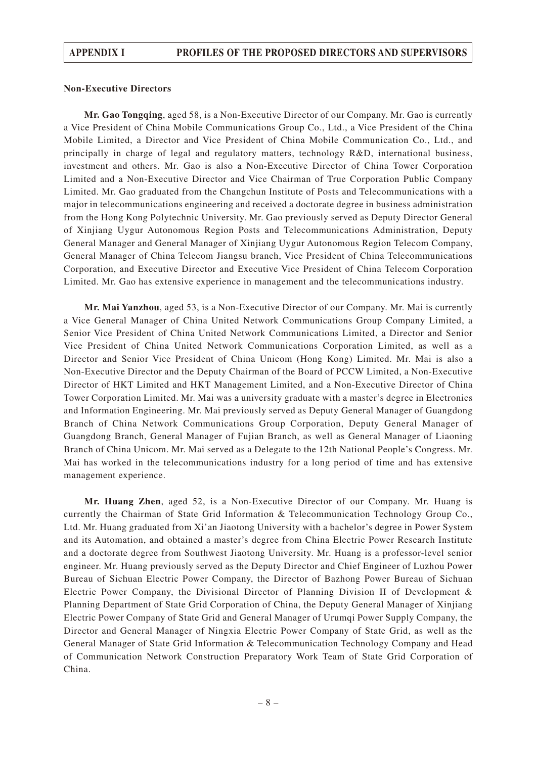#### **Non-Executive Directors**

**Mr. Gao Tongqing**, aged 58, is a Non-Executive Director of our Company. Mr. Gao is currently a Vice President of China Mobile Communications Group Co., Ltd., a Vice President of the China Mobile Limited, a Director and Vice President of China Mobile Communication Co., Ltd., and principally in charge of legal and regulatory matters, technology R&D, international business, investment and others. Mr. Gao is also a Non-Executive Director of China Tower Corporation Limited and a Non-Executive Director and Vice Chairman of True Corporation Public Company Limited. Mr. Gao graduated from the Changchun Institute of Posts and Telecommunications with a major in telecommunications engineering and received a doctorate degree in business administration from the Hong Kong Polytechnic University. Mr. Gao previously served as Deputy Director General of Xinjiang Uygur Autonomous Region Posts and Telecommunications Administration, Deputy General Manager and General Manager of Xinjiang Uygur Autonomous Region Telecom Company, General Manager of China Telecom Jiangsu branch, Vice President of China Telecommunications Corporation, and Executive Director and Executive Vice President of China Telecom Corporation Limited. Mr. Gao has extensive experience in management and the telecommunications industry.

**Mr. Mai Yanzhou**, aged 53, is a Non-Executive Director of our Company. Mr. Mai is currently a Vice General Manager of China United Network Communications Group Company Limited, a Senior Vice President of China United Network Communications Limited, a Director and Senior Vice President of China United Network Communications Corporation Limited, as well as a Director and Senior Vice President of China Unicom (Hong Kong) Limited. Mr. Mai is also a Non-Executive Director and the Deputy Chairman of the Board of PCCW Limited, a Non-Executive Director of HKT Limited and HKT Management Limited, and a Non-Executive Director of China Tower Corporation Limited. Mr. Mai was a university graduate with a master's degree in Electronics and Information Engineering. Mr. Mai previously served as Deputy General Manager of Guangdong Branch of China Network Communications Group Corporation, Deputy General Manager of Guangdong Branch, General Manager of Fujian Branch, as well as General Manager of Liaoning Branch of China Unicom. Mr. Mai served as a Delegate to the 12th National People's Congress. Mr. Mai has worked in the telecommunications industry for a long period of time and has extensive management experience.

**Mr. Huang Zhen**, aged 52, is a Non-Executive Director of our Company. Mr. Huang is currently the Chairman of State Grid Information & Telecommunication Technology Group Co., Ltd. Mr. Huang graduated from Xi'an Jiaotong University with a bachelor's degree in Power System and its Automation, and obtained a master's degree from China Electric Power Research Institute and a doctorate degree from Southwest Jiaotong University. Mr. Huang is a professor-level senior engineer. Mr. Huang previously served as the Deputy Director and Chief Engineer of Luzhou Power Bureau of Sichuan Electric Power Company, the Director of Bazhong Power Bureau of Sichuan Electric Power Company, the Divisional Director of Planning Division II of Development & Planning Department of State Grid Corporation of China, the Deputy General Manager of Xinjiang Electric Power Company of State Grid and General Manager of Urumqi Power Supply Company, the Director and General Manager of Ningxia Electric Power Company of State Grid, as well as the General Manager of State Grid Information & Telecommunication Technology Company and Head of Communication Network Construction Preparatory Work Team of State Grid Corporation of China.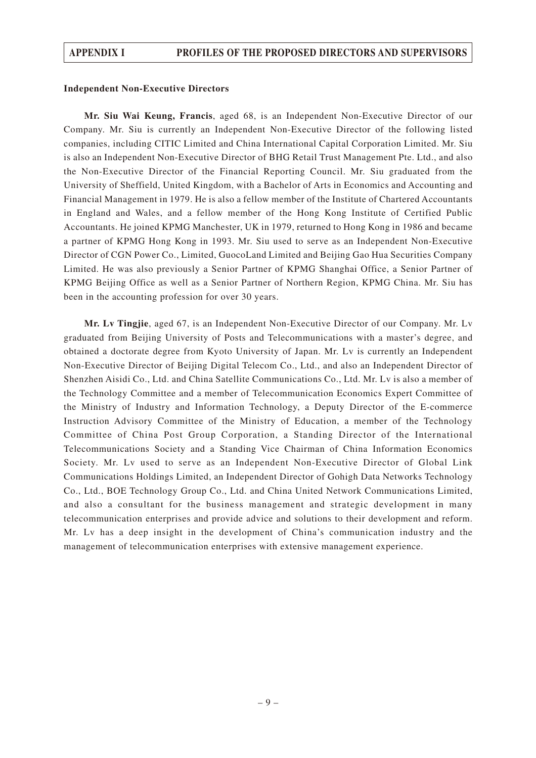#### **Independent Non-Executive Directors**

**Mr. Siu Wai Keung, Francis**, aged 68, is an Independent Non-Executive Director of our Company. Mr. Siu is currently an Independent Non-Executive Director of the following listed companies, including CITIC Limited and China International Capital Corporation Limited. Mr. Siu is also an Independent Non-Executive Director of BHG Retail Trust Management Pte. Ltd., and also the Non-Executive Director of the Financial Reporting Council. Mr. Siu graduated from the University of Sheffield, United Kingdom, with a Bachelor of Arts in Economics and Accounting and Financial Management in 1979. He is also a fellow member of the Institute of Chartered Accountants in England and Wales, and a fellow member of the Hong Kong Institute of Certified Public Accountants. He joined KPMG Manchester, UK in 1979, returned to Hong Kong in 1986 and became a partner of KPMG Hong Kong in 1993. Mr. Siu used to serve as an Independent Non-Executive Director of CGN Power Co., Limited, GuocoLand Limited and Beijing Gao Hua Securities Company Limited. He was also previously a Senior Partner of KPMG Shanghai Office, a Senior Partner of KPMG Beijing Office as well as a Senior Partner of Northern Region, KPMG China. Mr. Siu has been in the accounting profession for over 30 years.

**Mr. Lv Tingjie**, aged 67, is an Independent Non-Executive Director of our Company. Mr. Lv graduated from Beijing University of Posts and Telecommunications with a master's degree, and obtained a doctorate degree from Kyoto University of Japan. Mr. Lv is currently an Independent Non-Executive Director of Beijing Digital Telecom Co., Ltd., and also an Independent Director of Shenzhen Aisidi Co., Ltd. and China Satellite Communications Co., Ltd. Mr. Lv is also a member of the Technology Committee and a member of Telecommunication Economics Expert Committee of the Ministry of Industry and Information Technology, a Deputy Director of the E-commerce Instruction Advisory Committee of the Ministry of Education, a member of the Technology Committee of China Post Group Corporation, a Standing Director of the International Telecommunications Society and a Standing Vice Chairman of China Information Economics Society. Mr. Lv used to serve as an Independent Non-Executive Director of Global Link Communications Holdings Limited, an Independent Director of Gohigh Data Networks Technology Co., Ltd., BOE Technology Group Co., Ltd. and China United Network Communications Limited, and also a consultant for the business management and strategic development in many telecommunication enterprises and provide advice and solutions to their development and reform. Mr. Lv has a deep insight in the development of China's communication industry and the management of telecommunication enterprises with extensive management experience.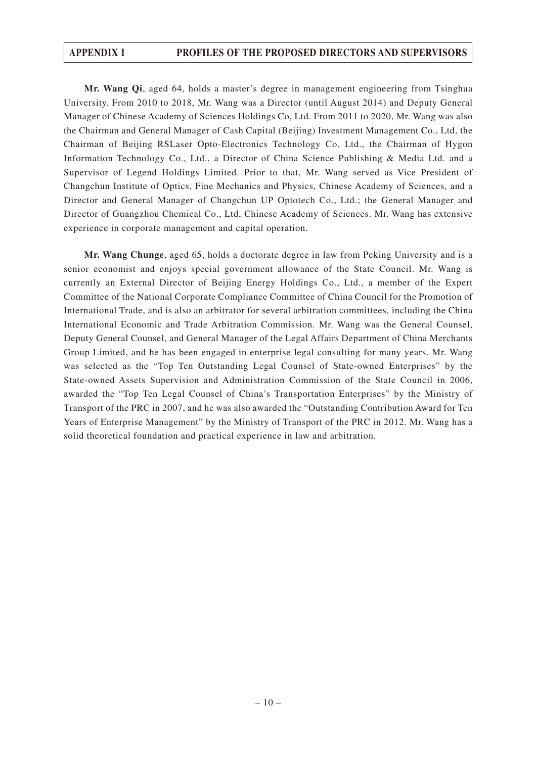**Mr. Wang Qi**, aged 64, holds a master's degree in management engineering from Tsinghua University. From 2010 to 2018, Mr. Wang was a Director (until August 2014) and Deputy General Manager of Chinese Academy of Sciences Holdings Co, Ltd. From 2011 to 2020, Mr. Wang was also the Chairman and General Manager of Cash Capital (Beijing) Investment Management Co., Ltd, the Chairman of Beijing RSLaser Opto-Electronics Technology Co. Ltd., the Chairman of Hygon Information Technology Co., Ltd., a Director of China Science Publishing & Media Ltd. and a Supervisor of Legend Holdings Limited. Prior to that, Mr. Wang served as Vice President of Changchun Institute of Optics, Fine Mechanics and Physics, Chinese Academy of Sciences, and a Director and General Manager of Changchun UP Optotech Co., Ltd.; the General Manager and Director of Guangzhou Chemical Co., Ltd, Chinese Academy of Sciences. Mr. Wang has extensive experience in corporate management and capital operation.

**Mr. Wang Chunge**, aged 65, holds a doctorate degree in law from Peking University and is a senior economist and enjoys special government allowance of the State Council. Mr. Wang is currently an External Director of Beijing Energy Holdings Co., Ltd., a member of the Expert Committee of the National Corporate Compliance Committee of China Council for the Promotion of International Trade, and is also an arbitrator for several arbitration committees, including the China International Economic and Trade Arbitration Commission. Mr. Wang was the General Counsel, Deputy General Counsel, and General Manager of the Legal Affairs Department of China Merchants Group Limited, and he has been engaged in enterprise legal consulting for many years. Mr. Wang was selected as the "Top Ten Outstanding Legal Counsel of State-owned Enterprises" by the State-owned Assets Supervision and Administration Commission of the State Council in 2006, awarded the "Top Ten Legal Counsel of China's Transportation Enterprises" by the Ministry of Transport of the PRC in 2007, and he was also awarded the "Outstanding Contribution Award for Ten Years of Enterprise Management" by the Ministry of Transport of the PRC in 2012. Mr. Wang has a solid theoretical foundation and practical experience in law and arbitration.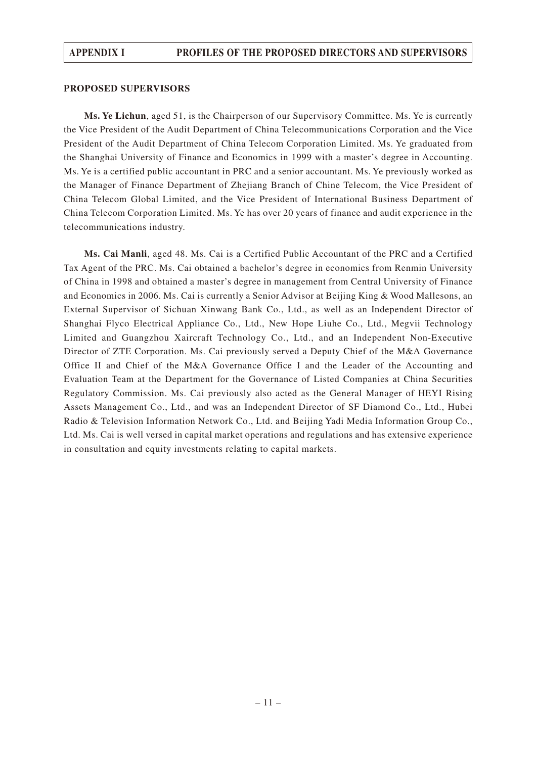#### **PROPOSED SUPERVISORS**

**Ms. Ye Lichun**, aged 51, is the Chairperson of our Supervisory Committee. Ms. Ye is currently the Vice President of the Audit Department of China Telecommunications Corporation and the Vice President of the Audit Department of China Telecom Corporation Limited. Ms. Ye graduated from the Shanghai University of Finance and Economics in 1999 with a master's degree in Accounting. Ms. Ye is a certified public accountant in PRC and a senior accountant. Ms. Ye previously worked as the Manager of Finance Department of Zhejiang Branch of Chine Telecom, the Vice President of China Telecom Global Limited, and the Vice President of International Business Department of China Telecom Corporation Limited. Ms. Ye has over 20 years of finance and audit experience in the telecommunications industry.

**Ms. Cai Manli**, aged 48. Ms. Cai is a Certified Public Accountant of the PRC and a Certified Tax Agent of the PRC. Ms. Cai obtained a bachelor's degree in economics from Renmin University of China in 1998 and obtained a master's degree in management from Central University of Finance and Economics in 2006. Ms. Cai is currently a Senior Advisor at Beijing King & Wood Mallesons, an External Supervisor of Sichuan Xinwang Bank Co., Ltd., as well as an Independent Director of Shanghai Flyco Electrical Appliance Co., Ltd., New Hope Liuhe Co., Ltd., Megvii Technology Limited and Guangzhou Xaircraft Technology Co., Ltd., and an Independent Non-Executive Director of ZTE Corporation. Ms. Cai previously served a Deputy Chief of the M&A Governance Office II and Chief of the M&A Governance Office I and the Leader of the Accounting and Evaluation Team at the Department for the Governance of Listed Companies at China Securities Regulatory Commission. Ms. Cai previously also acted as the General Manager of HEYI Rising Assets Management Co., Ltd., and was an Independent Director of SF Diamond Co., Ltd., Hubei Radio & Television Information Network Co., Ltd. and Beijing Yadi Media Information Group Co., Ltd. Ms. Cai is well versed in capital market operations and regulations and has extensive experience in consultation and equity investments relating to capital markets.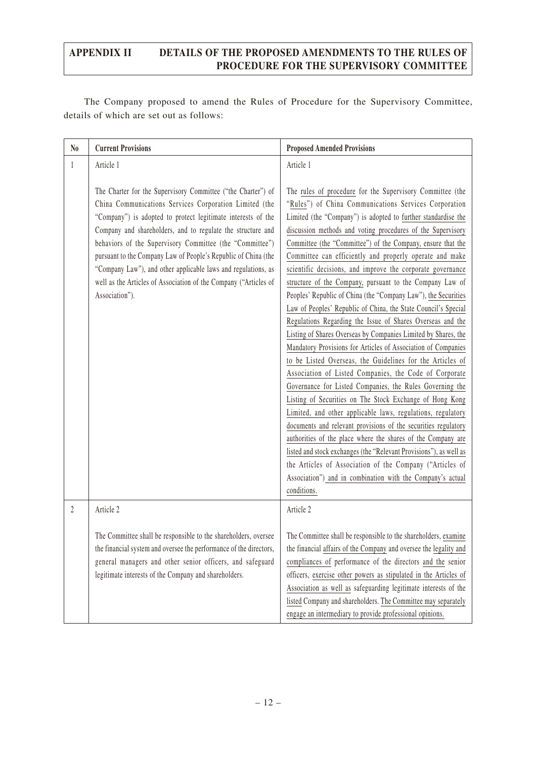The Company proposed to amend the Rules of Procedure for the Supervisory Committee, details of which are set out as follows:

| $\mathbf{N_0}$ | <b>Current Provisions</b>                                                                                                                                                                                                                                                                                                                                                                                                                                                                                                                  | <b>Proposed Amended Provisions</b>                                                                                                                                                                                                                                                                                                                                                                                                                                                                                                                                                                                                                                                                                                                                                                                                                                                                                                                                                                                                                                                                                                                                                                                                                                                                                                                                                                                                                                                                         |
|----------------|--------------------------------------------------------------------------------------------------------------------------------------------------------------------------------------------------------------------------------------------------------------------------------------------------------------------------------------------------------------------------------------------------------------------------------------------------------------------------------------------------------------------------------------------|------------------------------------------------------------------------------------------------------------------------------------------------------------------------------------------------------------------------------------------------------------------------------------------------------------------------------------------------------------------------------------------------------------------------------------------------------------------------------------------------------------------------------------------------------------------------------------------------------------------------------------------------------------------------------------------------------------------------------------------------------------------------------------------------------------------------------------------------------------------------------------------------------------------------------------------------------------------------------------------------------------------------------------------------------------------------------------------------------------------------------------------------------------------------------------------------------------------------------------------------------------------------------------------------------------------------------------------------------------------------------------------------------------------------------------------------------------------------------------------------------------|
| $\mathbf{1}$   | Article 1                                                                                                                                                                                                                                                                                                                                                                                                                                                                                                                                  | Article 1                                                                                                                                                                                                                                                                                                                                                                                                                                                                                                                                                                                                                                                                                                                                                                                                                                                                                                                                                                                                                                                                                                                                                                                                                                                                                                                                                                                                                                                                                                  |
|                | The Charter for the Supervisory Committee ("the Charter") of<br>China Communications Services Corporation Limited (the<br>"Company") is adopted to protect legitimate interests of the<br>Company and shareholders, and to regulate the structure and<br>behaviors of the Supervisory Committee (the "Committee")<br>pursuant to the Company Law of People's Republic of China (the<br>"Company Law"), and other applicable laws and regulations, as<br>well as the Articles of Association of the Company ("Articles of<br>Association"). | The rules of procedure for the Supervisory Committee (the<br>"Rules") of China Communications Services Corporation<br>Limited (the "Company") is adopted to further standardise the<br>discussion methods and voting procedures of the Supervisory<br>Committee (the "Committee") of the Company, ensure that the<br>Committee can efficiently and properly operate and make<br>scientific decisions, and improve the corporate governance<br>structure of the Company, pursuant to the Company Law of<br>Peoples' Republic of China (the "Company Law"), the Securities<br>Law of Peoples' Republic of China, the State Council's Special<br>Regulations Regarding the Issue of Shares Overseas and the<br>Listing of Shares Overseas by Companies Limited by Shares, the<br>Mandatory Provisions for Articles of Association of Companies<br>to be Listed Overseas, the Guidelines for the Articles of<br>Association of Listed Companies, the Code of Corporate<br>Governance for Listed Companies, the Rules Governing the<br>Listing of Securities on The Stock Exchange of Hong Kong<br>Limited, and other applicable laws, regulations, regulatory<br>documents and relevant provisions of the securities regulatory<br>authorities of the place where the shares of the Company are<br>listed and stock exchanges (the "Relevant Provisions"), as well as<br>the Articles of Association of the Company ("Articles of<br>Association") and in combination with the Company's actual<br>conditions. |
| $\overline{2}$ | Article 2                                                                                                                                                                                                                                                                                                                                                                                                                                                                                                                                  | Article 2                                                                                                                                                                                                                                                                                                                                                                                                                                                                                                                                                                                                                                                                                                                                                                                                                                                                                                                                                                                                                                                                                                                                                                                                                                                                                                                                                                                                                                                                                                  |
|                | The Committee shall be responsible to the shareholders, oversee<br>the financial system and oversee the performance of the directors,<br>general managers and other senior officers, and safeguard<br>legitimate interests of the Company and shareholders.                                                                                                                                                                                                                                                                                | The Committee shall be responsible to the shareholders, examine<br>the financial affairs of the Company and oversee the legality and<br>compliances of performance of the directors and the senior<br>officers, exercise other powers as stipulated in the Articles of<br>Association as well as safeguarding legitimate interests of the<br>listed Company and shareholders. The Committee may separately<br>engage an intermediary to provide professional opinions.                                                                                                                                                                                                                                                                                                                                                                                                                                                                                                                                                                                                                                                                                                                                                                                                                                                                                                                                                                                                                                     |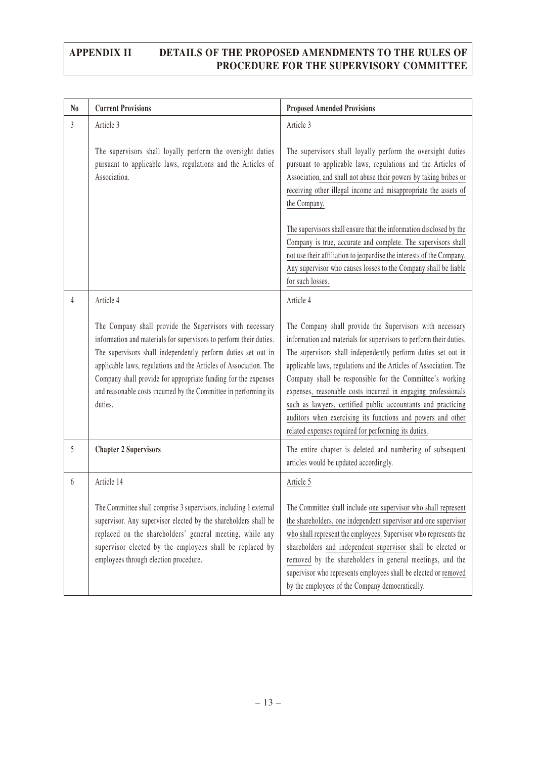| N <sub>0</sub> | <b>Current Provisions</b>                                                                                                                                                                                                                                                                                                                                                                                             | <b>Proposed Amended Provisions</b>                                                                                                                                                                                                                                                                                                                                                                                                                                                                                                                                                       |
|----------------|-----------------------------------------------------------------------------------------------------------------------------------------------------------------------------------------------------------------------------------------------------------------------------------------------------------------------------------------------------------------------------------------------------------------------|------------------------------------------------------------------------------------------------------------------------------------------------------------------------------------------------------------------------------------------------------------------------------------------------------------------------------------------------------------------------------------------------------------------------------------------------------------------------------------------------------------------------------------------------------------------------------------------|
| 3              | Article 3                                                                                                                                                                                                                                                                                                                                                                                                             | Article 3                                                                                                                                                                                                                                                                                                                                                                                                                                                                                                                                                                                |
|                | The supervisors shall loyally perform the oversight duties<br>pursuant to applicable laws, regulations and the Articles of<br>Association.                                                                                                                                                                                                                                                                            | The supervisors shall loyally perform the oversight duties<br>pursuant to applicable laws, regulations and the Articles of<br>Association, and shall not abuse their powers by taking bribes or<br>receiving other illegal income and misappropriate the assets of<br>the Company.                                                                                                                                                                                                                                                                                                       |
|                |                                                                                                                                                                                                                                                                                                                                                                                                                       | The supervisors shall ensure that the information disclosed by the<br>Company is true, accurate and complete. The supervisors shall<br>not use their affiliation to jeopardise the interests of the Company.<br>Any supervisor who causes losses to the Company shall be liable<br>for such losses.                                                                                                                                                                                                                                                                                      |
| $\overline{4}$ | Article 4                                                                                                                                                                                                                                                                                                                                                                                                             | Article 4                                                                                                                                                                                                                                                                                                                                                                                                                                                                                                                                                                                |
|                | The Company shall provide the Supervisors with necessary<br>information and materials for supervisors to perform their duties.<br>The supervisors shall independently perform duties set out in<br>applicable laws, regulations and the Articles of Association. The<br>Company shall provide for appropriate funding for the expenses<br>and reasonable costs incurred by the Committee in performing its<br>duties. | The Company shall provide the Supervisors with necessary<br>information and materials for supervisors to perform their duties.<br>The supervisors shall independently perform duties set out in<br>applicable laws, regulations and the Articles of Association. The<br>Company shall be responsible for the Committee's working<br>expenses, reasonable costs incurred in engaging professionals<br>such as lawyers, certified public accountants and practicing<br>auditors when exercising its functions and powers and other<br>related expenses required for performing its duties. |
| 5              | <b>Chapter 2 Supervisors</b>                                                                                                                                                                                                                                                                                                                                                                                          | The entire chapter is deleted and numbering of subsequent<br>articles would be updated accordingly.                                                                                                                                                                                                                                                                                                                                                                                                                                                                                      |
| $6\,$          | Article 14                                                                                                                                                                                                                                                                                                                                                                                                            | Article 5                                                                                                                                                                                                                                                                                                                                                                                                                                                                                                                                                                                |
|                | The Committee shall comprise 3 supervisors, including 1 external<br>supervisor. Any supervisor elected by the shareholders shall be<br>replaced on the shareholders' general meeting, while any<br>supervisor elected by the employees shall be replaced by<br>employees through election procedure.                                                                                                                  | The Committee shall include one supervisor who shall represent<br>the shareholders, one independent supervisor and one supervisor<br>who shall represent the employees. Supervisor who represents the<br>shareholders and independent supervisor shall be elected or<br>removed by the shareholders in general meetings, and the<br>supervisor who represents employees shall be elected or removed<br>by the employees of the Company democratically.                                                                                                                                   |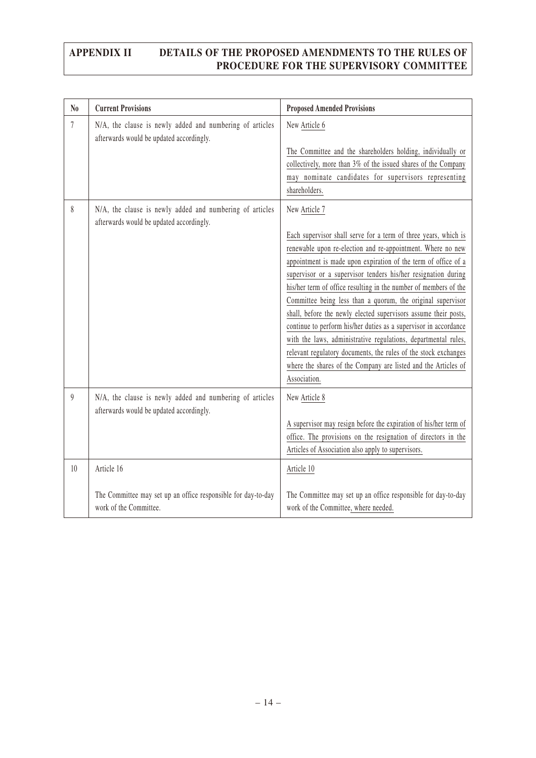| N <sub>0</sub>   | <b>Current Provisions</b>                                                                             | <b>Proposed Amended Provisions</b>                                                                                                                                                                                                                                                                                                                                                                                                                                                                                                                                                                                                                                                                                                                                                  |
|------------------|-------------------------------------------------------------------------------------------------------|-------------------------------------------------------------------------------------------------------------------------------------------------------------------------------------------------------------------------------------------------------------------------------------------------------------------------------------------------------------------------------------------------------------------------------------------------------------------------------------------------------------------------------------------------------------------------------------------------------------------------------------------------------------------------------------------------------------------------------------------------------------------------------------|
| 7                | N/A, the clause is newly added and numbering of articles<br>afterwards would be updated accordingly.  | New Article 6<br>The Committee and the shareholders holding, individually or<br>collectively, more than 3% of the issued shares of the Company<br>may nominate candidates for supervisors representing<br>shareholders.                                                                                                                                                                                                                                                                                                                                                                                                                                                                                                                                                             |
| 8                | N/A, the clause is newly added and numbering of articles<br>afterwards would be updated accordingly.  | New Article 7<br>Each supervisor shall serve for a term of three years, which is<br>renewable upon re-election and re-appointment. Where no new<br>appointment is made upon expiration of the term of office of a<br>supervisor or a supervisor tenders his/her resignation during<br>his/her term of office resulting in the number of members of the<br>Committee being less than a quorum, the original supervisor<br>shall, before the newly elected supervisors assume their posts,<br>continue to perform his/her duties as a supervisor in accordance<br>with the laws, administrative regulations, departmental rules,<br>relevant regulatory documents, the rules of the stock exchanges<br>where the shares of the Company are listed and the Articles of<br>Association. |
| $\boldsymbol{9}$ | N/A, the clause is newly added and numbering of articles<br>afterwards would be updated accordingly.  | New Article 8<br>A supervisor may resign before the expiration of his/her term of<br>office. The provisions on the resignation of directors in the<br>Articles of Association also apply to supervisors.                                                                                                                                                                                                                                                                                                                                                                                                                                                                                                                                                                            |
| 10               | Article 16<br>The Committee may set up an office responsible for day-to-day<br>work of the Committee. | Article 10<br>The Committee may set up an office responsible for day-to-day<br>work of the Committee, where needed.                                                                                                                                                                                                                                                                                                                                                                                                                                                                                                                                                                                                                                                                 |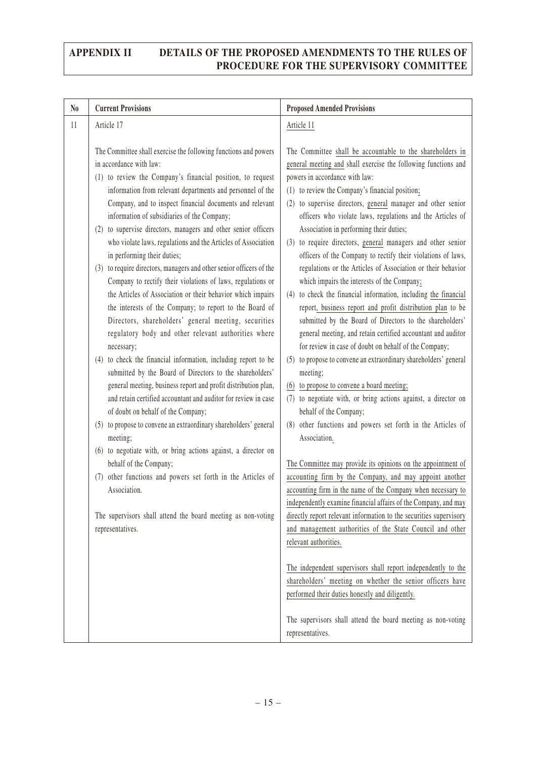| N <sub>0</sub> | <b>Current Provisions</b>                                                                                                                                                                                                                                                                                                                                                                                                                                                                                                                                                                                                                                                                                                                                                                                                                                                                                                                                                                                                                                                                                                                                                                                                                                                     | <b>Proposed Amended Provisions</b>                                                                                                                                                                                                                                                                                                                                                                                                                                                                                                                                                                                                                                                                                                                                                                                                                                                                                                                                                                                                                                                                                                                                                                                                                     |
|----------------|-------------------------------------------------------------------------------------------------------------------------------------------------------------------------------------------------------------------------------------------------------------------------------------------------------------------------------------------------------------------------------------------------------------------------------------------------------------------------------------------------------------------------------------------------------------------------------------------------------------------------------------------------------------------------------------------------------------------------------------------------------------------------------------------------------------------------------------------------------------------------------------------------------------------------------------------------------------------------------------------------------------------------------------------------------------------------------------------------------------------------------------------------------------------------------------------------------------------------------------------------------------------------------|--------------------------------------------------------------------------------------------------------------------------------------------------------------------------------------------------------------------------------------------------------------------------------------------------------------------------------------------------------------------------------------------------------------------------------------------------------------------------------------------------------------------------------------------------------------------------------------------------------------------------------------------------------------------------------------------------------------------------------------------------------------------------------------------------------------------------------------------------------------------------------------------------------------------------------------------------------------------------------------------------------------------------------------------------------------------------------------------------------------------------------------------------------------------------------------------------------------------------------------------------------|
| 11             | Article 17                                                                                                                                                                                                                                                                                                                                                                                                                                                                                                                                                                                                                                                                                                                                                                                                                                                                                                                                                                                                                                                                                                                                                                                                                                                                    | Article 11                                                                                                                                                                                                                                                                                                                                                                                                                                                                                                                                                                                                                                                                                                                                                                                                                                                                                                                                                                                                                                                                                                                                                                                                                                             |
|                | The Committee shall exercise the following functions and powers<br>in accordance with law:<br>(1) to review the Company's financial position, to request<br>information from relevant departments and personnel of the<br>Company, and to inspect financial documents and relevant<br>information of subsidiaries of the Company;<br>(2) to supervise directors, managers and other senior officers<br>who violate laws, regulations and the Articles of Association<br>in performing their duties;<br>(3) to require directors, managers and other senior officers of the<br>Company to rectify their violations of laws, regulations or<br>the Articles of Association or their behavior which impairs<br>the interests of the Company; to report to the Board of<br>Directors, shareholders' general meeting, securities<br>regulatory body and other relevant authorities where<br>necessary;<br>(4) to check the financial information, including report to be<br>submitted by the Board of Directors to the shareholders'<br>general meeting, business report and profit distribution plan,<br>and retain certified accountant and auditor for review in case<br>of doubt on behalf of the Company;<br>(5) to propose to convene an extraordinary shareholders' general | The Committee shall be accountable to the shareholders in<br>general meeting and shall exercise the following functions and<br>powers in accordance with law:<br>(1) to review the Company's financial position;<br>(2) to supervise directors, general manager and other senior<br>officers who violate laws, regulations and the Articles of<br>Association in performing their duties;<br>(3) to require directors, general managers and other senior<br>officers of the Company to rectify their violations of laws,<br>regulations or the Articles of Association or their behavior<br>which impairs the interests of the Company;<br>(4) to check the financial information, including the financial<br>report, business report and profit distribution plan to be<br>submitted by the Board of Directors to the shareholders'<br>general meeting, and retain certified accountant and auditor<br>for review in case of doubt on behalf of the Company;<br>(5) to propose to convene an extraordinary shareholders' general<br>meeting;<br>(6) to propose to convene a board meeting;<br>(7) to negotiate with, or bring actions against, a director on<br>behalf of the Company;<br>(8) other functions and powers set forth in the Articles of |
|                | meeting;<br>(6) to negotiate with, or bring actions against, a director on<br>behalf of the Company;<br>other functions and powers set forth in the Articles of<br>(7)<br>Association.<br>The supervisors shall attend the board meeting as non-voting<br>representatives.                                                                                                                                                                                                                                                                                                                                                                                                                                                                                                                                                                                                                                                                                                                                                                                                                                                                                                                                                                                                    | Association.<br>The Committee may provide its opinions on the appointment of<br>accounting firm by the Company, and may appoint another<br>accounting firm in the name of the Company when necessary to<br>independently examine financial affairs of the Company, and may<br>directly report relevant information to the securities supervisory<br>and management authorities of the State Council and other<br>relevant authorities.                                                                                                                                                                                                                                                                                                                                                                                                                                                                                                                                                                                                                                                                                                                                                                                                                 |
|                |                                                                                                                                                                                                                                                                                                                                                                                                                                                                                                                                                                                                                                                                                                                                                                                                                                                                                                                                                                                                                                                                                                                                                                                                                                                                               | The independent supervisors shall report independently to the<br>shareholders' meeting on whether the senior officers have<br>performed their duties honestly and diligently.<br>The supervisors shall attend the board meeting as non-voting<br>representatives.                                                                                                                                                                                                                                                                                                                                                                                                                                                                                                                                                                                                                                                                                                                                                                                                                                                                                                                                                                                      |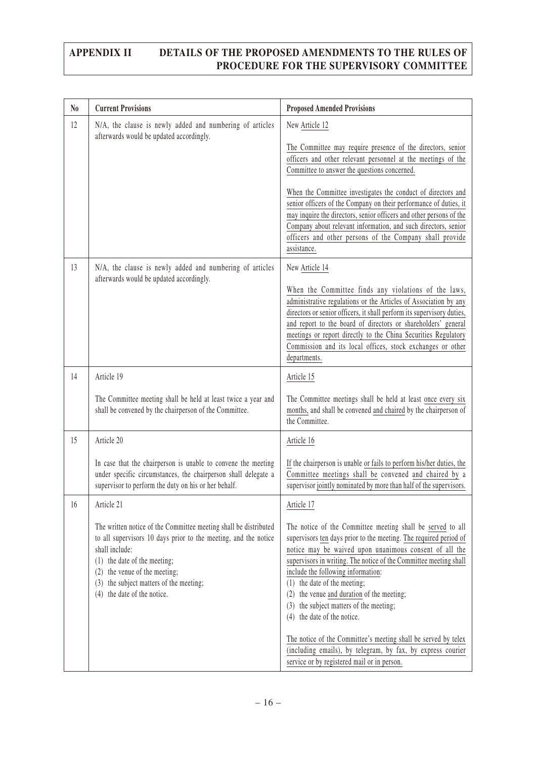| $\mathbf{N_0}$ | <b>Current Provisions</b>                                                                                                                                                                                                                                                                                                 | <b>Proposed Amended Provisions</b>                                                                                                                                                                                                                                                                                                                                                                                                                                                                                                                                                                                                                                    |
|----------------|---------------------------------------------------------------------------------------------------------------------------------------------------------------------------------------------------------------------------------------------------------------------------------------------------------------------------|-----------------------------------------------------------------------------------------------------------------------------------------------------------------------------------------------------------------------------------------------------------------------------------------------------------------------------------------------------------------------------------------------------------------------------------------------------------------------------------------------------------------------------------------------------------------------------------------------------------------------------------------------------------------------|
| 12             | N/A, the clause is newly added and numbering of articles<br>afterwards would be updated accordingly.                                                                                                                                                                                                                      | New Article 12<br>The Committee may require presence of the directors, senior<br>officers and other relevant personnel at the meetings of the<br>Committee to answer the questions concerned.<br>When the Committee investigates the conduct of directors and<br>senior officers of the Company on their performance of duties, it<br>may inquire the directors, senior officers and other persons of the<br>Company about relevant information, and such directors, senior<br>officers and other persons of the Company shall provide<br>assistance.                                                                                                                 |
| 13             | N/A, the clause is newly added and numbering of articles<br>afterwards would be updated accordingly.                                                                                                                                                                                                                      | New Article 14<br>When the Committee finds any violations of the laws,<br>administrative regulations or the Articles of Association by any<br>directors or senior officers, it shall perform its supervisory duties,<br>and report to the board of directors or shareholders' general<br>meetings or report directly to the China Securities Regulatory<br>Commission and its local offices, stock exchanges or other<br>departments.                                                                                                                                                                                                                                 |
| 14             | Article 19<br>The Committee meeting shall be held at least twice a year and<br>shall be convened by the chairperson of the Committee.                                                                                                                                                                                     | Article 15<br>The Committee meetings shall be held at least once every six<br>months, and shall be convened and chaired by the chairperson of<br>the Committee.                                                                                                                                                                                                                                                                                                                                                                                                                                                                                                       |
| 15             | Article 20<br>In case that the chairperson is unable to convene the meeting<br>under specific circumstances, the chairperson shall delegate a<br>supervisor to perform the duty on his or her behalf.                                                                                                                     | Article 16<br>If the chairperson is unable or fails to perform his/her duties, the<br>Committee meetings shall be convened and chaired by a<br>supervisor jointly nominated by more than half of the supervisors.                                                                                                                                                                                                                                                                                                                                                                                                                                                     |
| 16             | Article 21<br>The written notice of the Committee meeting shall be distributed<br>to all supervisors 10 days prior to the meeting, and the notice<br>shall include:<br>$(1)$ the date of the meeting;<br>the venue of the meeting;<br>(2)<br>the subject matters of the meeting;<br>(3)<br>the date of the notice.<br>(4) | Article 17<br>The notice of the Committee meeting shall be served to all<br>supervisors ten days prior to the meeting. The required period of<br>notice may be waived upon unanimous consent of all the<br>supervisors in writing. The notice of the Committee meeting shall<br>include the following information:<br>$(1)$ the date of the meeting;<br>the venue and duration of the meeting;<br>(2)<br>the subject matters of the meeting;<br>(3)<br>the date of the notice.<br>(4)<br>The notice of the Committee's meeting shall be served by telex<br>(including emails), by telegram, by fax, by express courier<br>service or by registered mail or in person. |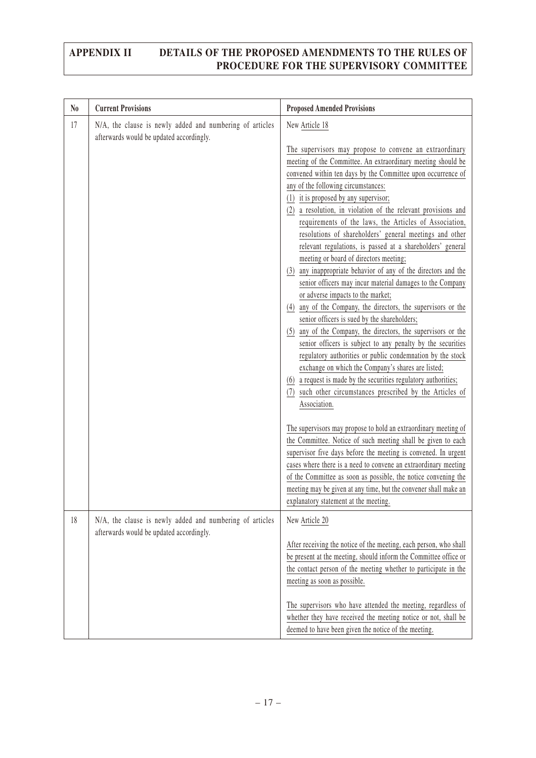| N <sub>0</sub> | <b>Current Provisions</b>                                                                            | <b>Proposed Amended Provisions</b>                                                                                                                                                                                                                                                                                                                                                                                                                                                                                                                                                                                                                                                                                                                                                                                                                                                                                                                                                                                                                                                                                                                                                                                                                                                                                                                                                                                                                                                                                                                                                                                                                                                                       |
|----------------|------------------------------------------------------------------------------------------------------|----------------------------------------------------------------------------------------------------------------------------------------------------------------------------------------------------------------------------------------------------------------------------------------------------------------------------------------------------------------------------------------------------------------------------------------------------------------------------------------------------------------------------------------------------------------------------------------------------------------------------------------------------------------------------------------------------------------------------------------------------------------------------------------------------------------------------------------------------------------------------------------------------------------------------------------------------------------------------------------------------------------------------------------------------------------------------------------------------------------------------------------------------------------------------------------------------------------------------------------------------------------------------------------------------------------------------------------------------------------------------------------------------------------------------------------------------------------------------------------------------------------------------------------------------------------------------------------------------------------------------------------------------------------------------------------------------------|
| 17             | N/A, the clause is newly added and numbering of articles<br>afterwards would be updated accordingly. | New Article 18<br>The supervisors may propose to convene an extraordinary<br>meeting of the Committee. An extraordinary meeting should be<br>convened within ten days by the Committee upon occurrence of<br>any of the following circumstances:<br>(1) it is proposed by any supervisor;<br>a resolution, in violation of the relevant provisions and<br>(2)<br>requirements of the laws, the Articles of Association,<br>resolutions of shareholders' general meetings and other<br>relevant regulations, is passed at a shareholders' general<br>meeting or board of directors meeting;<br>(3) any inappropriate behavior of any of the directors and the<br>senior officers may incur material damages to the Company<br>or adverse impacts to the market;<br>any of the Company, the directors, the supervisors or the<br>(4)<br>senior officers is sued by the shareholders;<br>(5) any of the Company, the directors, the supervisors or the<br>senior officers is subject to any penalty by the securities<br>regulatory authorities or public condemnation by the stock<br>exchange on which the Company's shares are listed;<br>(6) a request is made by the securities regulatory authorities;<br>such other circumstances prescribed by the Articles of<br>(7)<br>Association.<br>The supervisors may propose to hold an extraordinary meeting of<br>the Committee. Notice of such meeting shall be given to each<br>supervisor five days before the meeting is convened. In urgent<br>cases where there is a need to convene an extraordinary meeting<br>of the Committee as soon as possible, the notice convening the<br>meeting may be given at any time, but the convener shall make an |
| 18             | N/A, the clause is newly added and numbering of articles<br>afterwards would be updated accordingly. | explanatory statement at the meeting.<br>New Article 20<br>After receiving the notice of the meeting, each person, who shall<br>be present at the meeting, should inform the Committee office or<br>the contact person of the meeting whether to participate in the<br>meeting as soon as possible.<br>The supervisors who have attended the meeting, regardless of<br>whether they have received the meeting notice or not, shall be                                                                                                                                                                                                                                                                                                                                                                                                                                                                                                                                                                                                                                                                                                                                                                                                                                                                                                                                                                                                                                                                                                                                                                                                                                                                    |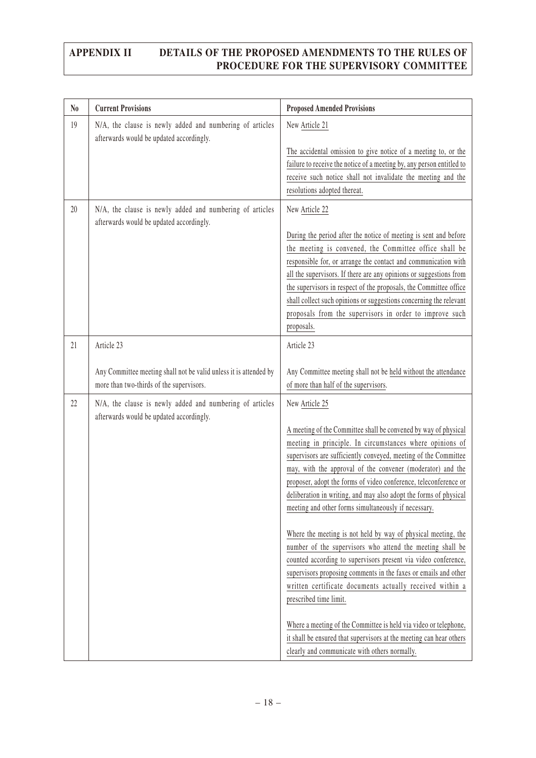| N <sub>0</sub> | <b>Current Provisions</b>                                                                                     | <b>Proposed Amended Provisions</b>                                                                                                                                                                                                                                                                                                                                                                                                                                                                                                                                                                                                                                                                                                                                                                                                                                                                                                                                                                                                   |
|----------------|---------------------------------------------------------------------------------------------------------------|--------------------------------------------------------------------------------------------------------------------------------------------------------------------------------------------------------------------------------------------------------------------------------------------------------------------------------------------------------------------------------------------------------------------------------------------------------------------------------------------------------------------------------------------------------------------------------------------------------------------------------------------------------------------------------------------------------------------------------------------------------------------------------------------------------------------------------------------------------------------------------------------------------------------------------------------------------------------------------------------------------------------------------------|
| 19             | N/A, the clause is newly added and numbering of articles<br>afterwards would be updated accordingly.          | New Article 21<br>The accidental omission to give notice of a meeting to, or the<br>failure to receive the notice of a meeting by, any person entitled to<br>receive such notice shall not invalidate the meeting and the                                                                                                                                                                                                                                                                                                                                                                                                                                                                                                                                                                                                                                                                                                                                                                                                            |
|                |                                                                                                               | resolutions adopted thereat.                                                                                                                                                                                                                                                                                                                                                                                                                                                                                                                                                                                                                                                                                                                                                                                                                                                                                                                                                                                                         |
| 20             | N/A, the clause is newly added and numbering of articles<br>afterwards would be updated accordingly.          | New Article 22<br>During the period after the notice of meeting is sent and before<br>the meeting is convened, the Committee office shall be<br>responsible for, or arrange the contact and communication with<br>all the supervisors. If there are any opinions or suggestions from<br>the supervisors in respect of the proposals, the Committee office<br>shall collect such opinions or suggestions concerning the relevant<br>proposals from the supervisors in order to improve such<br>proposals.                                                                                                                                                                                                                                                                                                                                                                                                                                                                                                                             |
| 21             | Article 23                                                                                                    | Article 23                                                                                                                                                                                                                                                                                                                                                                                                                                                                                                                                                                                                                                                                                                                                                                                                                                                                                                                                                                                                                           |
|                | Any Committee meeting shall not be valid unless it is attended by<br>more than two-thirds of the supervisors. | Any Committee meeting shall not be held without the attendance<br>of more than half of the supervisors.                                                                                                                                                                                                                                                                                                                                                                                                                                                                                                                                                                                                                                                                                                                                                                                                                                                                                                                              |
| 22             | N/A, the clause is newly added and numbering of articles<br>afterwards would be updated accordingly.          | New Article 25<br>A meeting of the Committee shall be convened by way of physical<br>meeting in principle. In circumstances where opinions of<br>supervisors are sufficiently conveyed, meeting of the Committee<br>may, with the approval of the convener (moderator) and the<br>proposer, adopt the forms of video conference, teleconference or<br>deliberation in writing, and may also adopt the forms of physical<br>meeting and other forms simultaneously if necessary.<br>Where the meeting is not held by way of physical meeting, the<br>number of the supervisors who attend the meeting shall be<br>counted according to supervisors present via video conference,<br>supervisors proposing comments in the faxes or emails and other<br>written certificate documents actually received within a<br>prescribed time limit.<br>Where a meeting of the Committee is held via video or telephone,<br>it shall be ensured that supervisors at the meeting can hear others<br>clearly and communicate with others normally. |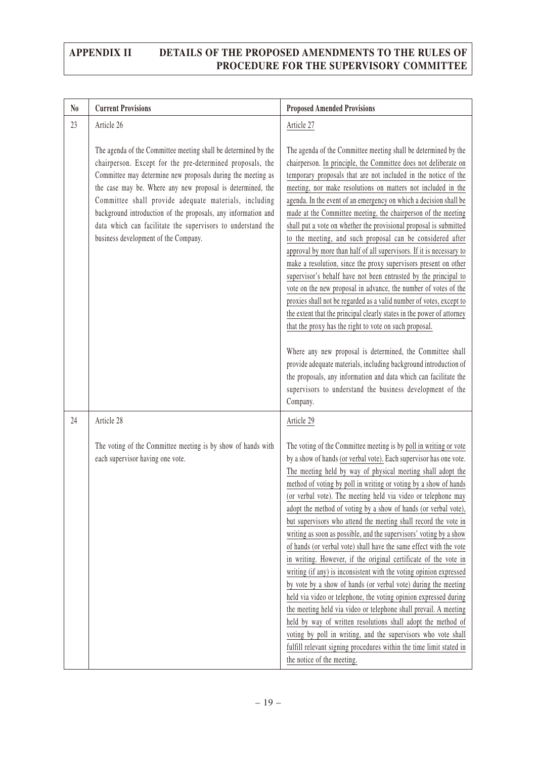| N <sub>0</sub> | <b>Current Provisions</b>                                                                                                                                                                                                                                                                                                                                                                                                                                                                 | <b>Proposed Amended Provisions</b>                                                                                                                                                                                                                                                                                                                                                                                                                                                                                                                                                                                                                                                                                                                                                                                                                                                                                                                                                                                                                                                                                                                                                                                                                                                                                   |
|----------------|-------------------------------------------------------------------------------------------------------------------------------------------------------------------------------------------------------------------------------------------------------------------------------------------------------------------------------------------------------------------------------------------------------------------------------------------------------------------------------------------|----------------------------------------------------------------------------------------------------------------------------------------------------------------------------------------------------------------------------------------------------------------------------------------------------------------------------------------------------------------------------------------------------------------------------------------------------------------------------------------------------------------------------------------------------------------------------------------------------------------------------------------------------------------------------------------------------------------------------------------------------------------------------------------------------------------------------------------------------------------------------------------------------------------------------------------------------------------------------------------------------------------------------------------------------------------------------------------------------------------------------------------------------------------------------------------------------------------------------------------------------------------------------------------------------------------------|
| 23             | Article 26                                                                                                                                                                                                                                                                                                                                                                                                                                                                                | Article 27                                                                                                                                                                                                                                                                                                                                                                                                                                                                                                                                                                                                                                                                                                                                                                                                                                                                                                                                                                                                                                                                                                                                                                                                                                                                                                           |
|                | The agenda of the Committee meeting shall be determined by the<br>chairperson. Except for the pre-determined proposals, the<br>Committee may determine new proposals during the meeting as<br>the case may be. Where any new proposal is determined, the<br>Committee shall provide adequate materials, including<br>background introduction of the proposals, any information and<br>data which can facilitate the supervisors to understand the<br>business development of the Company. | The agenda of the Committee meeting shall be determined by the<br>chairperson. In principle, the Committee does not deliberate on<br>temporary proposals that are not included in the notice of the<br>meeting, nor make resolutions on matters not included in the<br>agenda. In the event of an emergency on which a decision shall be<br>made at the Committee meeting, the chairperson of the meeting<br>shall put a vote on whether the provisional proposal is submitted<br>to the meeting, and such proposal can be considered after<br>approval by more than half of all supervisors. If it is necessary to<br>make a resolution, since the proxy supervisors present on other<br>supervisor's behalf have not been entrusted by the principal to<br>vote on the new proposal in advance, the number of votes of the<br>proxies shall not be regarded as a valid number of votes, except to<br>the extent that the principal clearly states in the power of attorney<br>that the proxy has the right to vote on such proposal.<br>Where any new proposal is determined, the Committee shall<br>provide adequate materials, including background introduction of<br>the proposals, any information and data which can facilitate the<br>supervisors to understand the business development of the<br>Company. |
| 24             | Article 28                                                                                                                                                                                                                                                                                                                                                                                                                                                                                | Article 29                                                                                                                                                                                                                                                                                                                                                                                                                                                                                                                                                                                                                                                                                                                                                                                                                                                                                                                                                                                                                                                                                                                                                                                                                                                                                                           |
|                | The voting of the Committee meeting is by show of hands with<br>each supervisor having one vote.                                                                                                                                                                                                                                                                                                                                                                                          | The voting of the Committee meeting is by poll in writing or vote<br>by a show of hands (or verbal vote). Each supervisor has one vote.<br>The meeting held by way of physical meeting shall adopt the<br>method of voting by poll in writing or voting by a show of hands<br>(or verbal vote). The meeting held via video or telephone may<br>adopt the method of voting by a show of hands (or verbal vote),<br>but supervisors who attend the meeting shall record the vote in<br>writing as soon as possible, and the supervisors' voting by a show<br>of hands (or verbal vote) shall have the same effect with the vote<br>in writing. However, if the original certificate of the vote in<br>writing (if any) is inconsistent with the voting opinion expressed<br>by vote by a show of hands (or verbal vote) during the meeting<br>held via video or telephone, the voting opinion expressed during<br>the meeting held via video or telephone shall prevail. A meeting<br>held by way of written resolutions shall adopt the method of<br>voting by poll in writing, and the supervisors who vote shall<br>fulfill relevant signing procedures within the time limit stated in<br>the notice of the meeting.                                                                                               |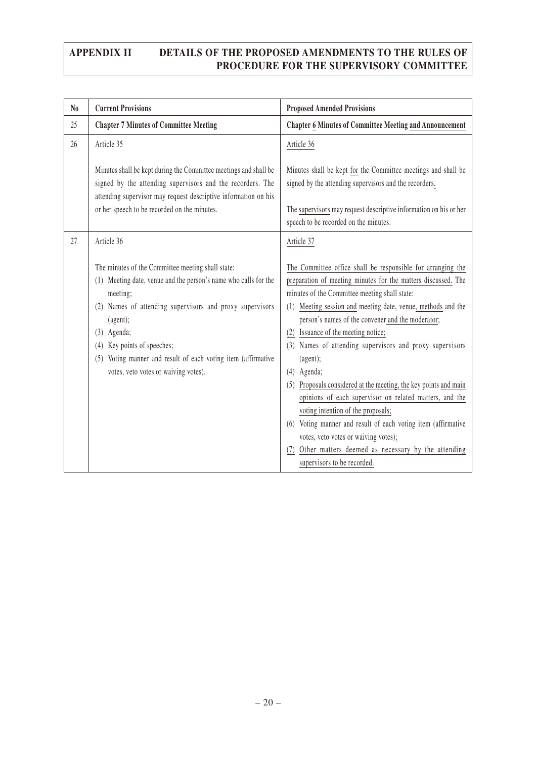| $\mathbf{N_0}$ | <b>Current Provisions</b>                                                                                                                                                                                                                                                                                                                                            | <b>Proposed Amended Provisions</b>                                                                                                                                                                                                                                                                                                                                                                                                                                                                                                                                                                                                                                                                                                                                                                           |
|----------------|----------------------------------------------------------------------------------------------------------------------------------------------------------------------------------------------------------------------------------------------------------------------------------------------------------------------------------------------------------------------|--------------------------------------------------------------------------------------------------------------------------------------------------------------------------------------------------------------------------------------------------------------------------------------------------------------------------------------------------------------------------------------------------------------------------------------------------------------------------------------------------------------------------------------------------------------------------------------------------------------------------------------------------------------------------------------------------------------------------------------------------------------------------------------------------------------|
| 25             | <b>Chapter 7 Minutes of Committee Meeting</b>                                                                                                                                                                                                                                                                                                                        | <b>Chapter 6 Minutes of Committee Meeting and Announcement</b>                                                                                                                                                                                                                                                                                                                                                                                                                                                                                                                                                                                                                                                                                                                                               |
| 26             | Article 35                                                                                                                                                                                                                                                                                                                                                           | Article 36                                                                                                                                                                                                                                                                                                                                                                                                                                                                                                                                                                                                                                                                                                                                                                                                   |
|                | Minutes shall be kept during the Committee meetings and shall be<br>signed by the attending supervisors and the recorders. The<br>attending supervisor may request descriptive information on his<br>or her speech to be recorded on the minutes.                                                                                                                    | Minutes shall be kept for the Committee meetings and shall be<br>signed by the attending supervisors and the recorders.<br>The supervisors may request descriptive information on his or her<br>speech to be recorded on the minutes.                                                                                                                                                                                                                                                                                                                                                                                                                                                                                                                                                                        |
| 27             | Article 36                                                                                                                                                                                                                                                                                                                                                           | Article 37                                                                                                                                                                                                                                                                                                                                                                                                                                                                                                                                                                                                                                                                                                                                                                                                   |
|                | The minutes of the Committee meeting shall state:<br>(1) Meeting date, venue and the person's name who calls for the<br>meeting;<br>(2) Names of attending supervisors and proxy supervisors<br>(agent);<br>$(3)$ Agenda;<br>(4) Key points of speeches;<br>Voting manner and result of each voting item (affirmative<br>(5)<br>votes, veto votes or waiving votes). | The Committee office shall be responsible for arranging the<br>preparation of meeting minutes for the matters discussed. The<br>minutes of the Committee meeting shall state:<br>(1) Meeting session and meeting date, venue, methods and the<br>person's names of the convener and the moderator;<br>(2) Issuance of the meeting notice;<br>(3) Names of attending supervisors and proxy supervisors<br>(agent);<br>$(4)$ Agenda;<br>Proposals considered at the meeting, the key points and main<br>(5)<br>opinions of each supervisor on related matters, and the<br>voting intention of the proposals;<br>(6) Voting manner and result of each voting item (affirmative<br>votes, veto votes or waiving votes);<br>(7) Other matters deemed as necessary by the attending<br>supervisors to be recorded. |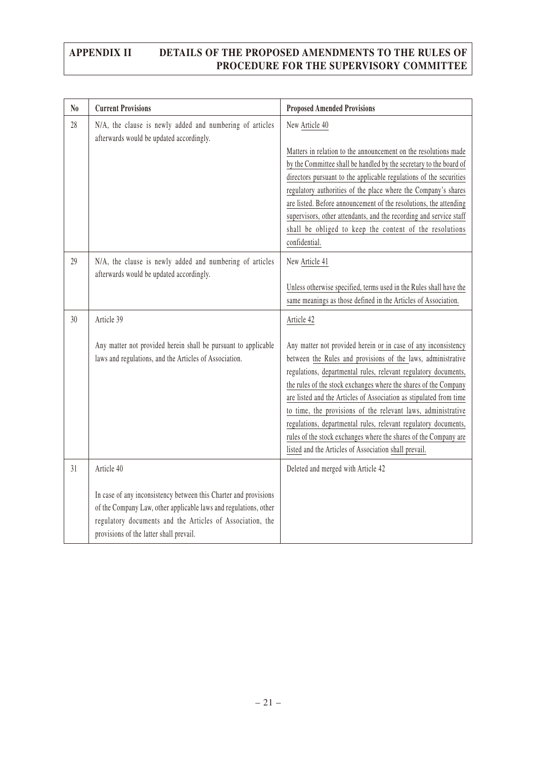| N <sub>0</sub> | <b>Current Provisions</b>                                                                                                                                                                                                                                  | <b>Proposed Amended Provisions</b>                                                                                                                                                                                                                                                                                                                                                                                                                                                                                                                                                                                        |
|----------------|------------------------------------------------------------------------------------------------------------------------------------------------------------------------------------------------------------------------------------------------------------|---------------------------------------------------------------------------------------------------------------------------------------------------------------------------------------------------------------------------------------------------------------------------------------------------------------------------------------------------------------------------------------------------------------------------------------------------------------------------------------------------------------------------------------------------------------------------------------------------------------------------|
| 28             | N/A, the clause is newly added and numbering of articles<br>afterwards would be updated accordingly.                                                                                                                                                       | New Article 40<br>Matters in relation to the announcement on the resolutions made<br>by the Committee shall be handled by the secretary to the board of<br>directors pursuant to the applicable regulations of the securities<br>regulatory authorities of the place where the Company's shares<br>are listed. Before announcement of the resolutions, the attending<br>supervisors, other attendants, and the recording and service staff<br>shall be obliged to keep the content of the resolutions<br>confidential.                                                                                                    |
| 29             | N/A, the clause is newly added and numbering of articles<br>afterwards would be updated accordingly.                                                                                                                                                       | New Article 41<br>Unless otherwise specified, terms used in the Rules shall have the<br>same meanings as those defined in the Articles of Association.                                                                                                                                                                                                                                                                                                                                                                                                                                                                    |
| 30             | Article 39<br>Any matter not provided herein shall be pursuant to applicable<br>laws and regulations, and the Articles of Association.                                                                                                                     | Article 42<br>Any matter not provided herein or in case of any inconsistency<br>between the Rules and provisions of the laws, administrative<br>regulations, departmental rules, relevant regulatory documents,<br>the rules of the stock exchanges where the shares of the Company<br>are listed and the Articles of Association as stipulated from time<br>to time, the provisions of the relevant laws, administrative<br>regulations, departmental rules, relevant regulatory documents,<br>rules of the stock exchanges where the shares of the Company are<br>listed and the Articles of Association shall prevail. |
| 31             | Article 40<br>In case of any inconsistency between this Charter and provisions<br>of the Company Law, other applicable laws and regulations, other<br>regulatory documents and the Articles of Association, the<br>provisions of the latter shall prevail. | Deleted and merged with Article 42                                                                                                                                                                                                                                                                                                                                                                                                                                                                                                                                                                                        |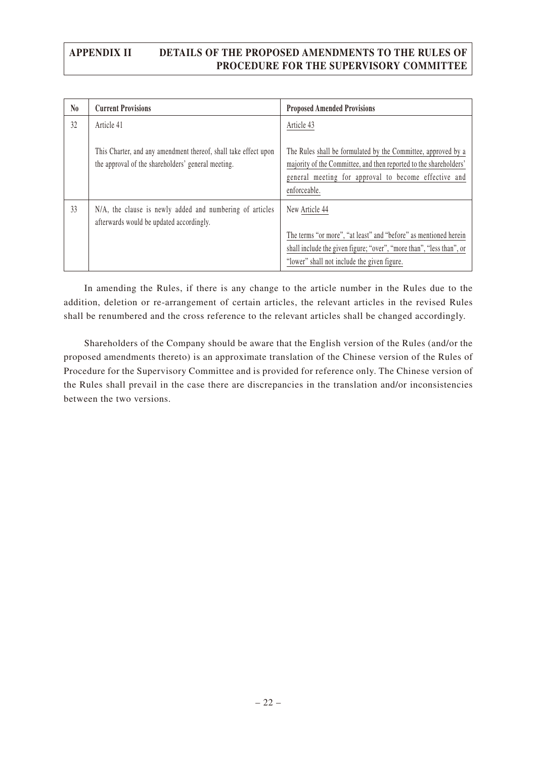| $\mathbf{N}\mathbf{0}$ | <b>Current Provisions</b>                                                                                             | <b>Proposed Amended Provisions</b>                                                                                                                                                                         |
|------------------------|-----------------------------------------------------------------------------------------------------------------------|------------------------------------------------------------------------------------------------------------------------------------------------------------------------------------------------------------|
| 32                     | Article 41                                                                                                            | Article 43                                                                                                                                                                                                 |
|                        | This Charter, and any amendment thereof, shall take effect upon<br>the approval of the shareholders' general meeting. | The Rules shall be formulated by the Committee, approved by a<br>majority of the Committee, and then reported to the shareholders'<br>general meeting for approval to become effective and<br>enforceable. |
| 33                     | N/A, the clause is newly added and numbering of articles<br>afterwards would be updated accordingly.                  | New Article 44<br>The terms "or more", "at least" and "before" as mentioned herein<br>shall include the given figure; "over", "more than", "less than", or<br>"lower" shall not include the given figure.  |

In amending the Rules, if there is any change to the article number in the Rules due to the addition, deletion or re-arrangement of certain articles, the relevant articles in the revised Rules shall be renumbered and the cross reference to the relevant articles shall be changed accordingly.

Shareholders of the Company should be aware that the English version of the Rules (and/or the proposed amendments thereto) is an approximate translation of the Chinese version of the Rules of Procedure for the Supervisory Committee and is provided for reference only. The Chinese version of the Rules shall prevail in the case there are discrepancies in the translation and/or inconsistencies between the two versions.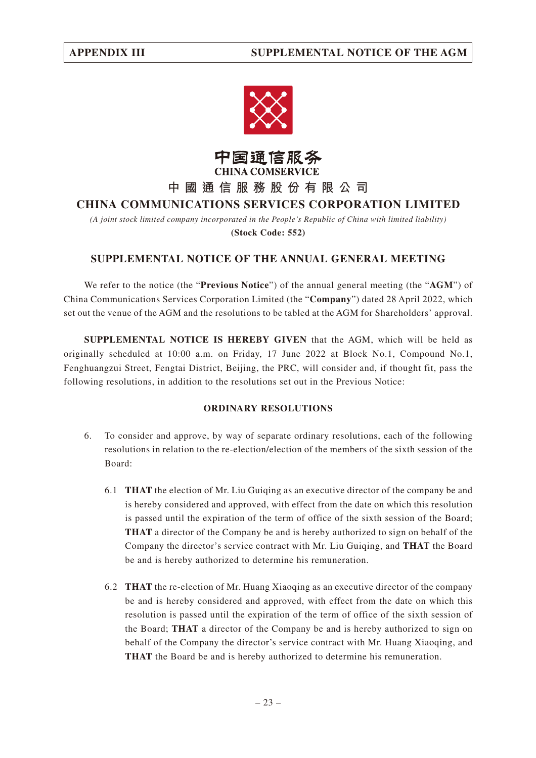



**中國通信服務股份有限公司**

## **CHINA COMMUNICATIONS SERVICES CORPORATION LIMITED**

*(A joint stock limited company incorporated in the People's Republic of China with limited liability)* **(Stock Code: 552)**

#### **SUPPLEMENTAL NOTICE OF THE ANNUAL GENERAL MEETING**

We refer to the notice (the "**Previous Notice**") of the annual general meeting (the "**AGM**") of China Communications Services Corporation Limited (the "**Company**") dated 28 April 2022, which set out the venue of the AGM and the resolutions to be tabled at the AGM for Shareholders' approval.

**SUPPLEMENTAL NOTICE IS HEREBY GIVEN** that the AGM, which will be held as originally scheduled at 10:00 a.m. on Friday, 17 June 2022 at Block No.1, Compound No.1, Fenghuangzui Street, Fengtai District, Beijing, the PRC, will consider and, if thought fit, pass the following resolutions, in addition to the resolutions set out in the Previous Notice:

#### **ORDINARY RESOLUTIONS**

- 6. To consider and approve, by way of separate ordinary resolutions, each of the following resolutions in relation to the re-election/election of the members of the sixth session of the Board:
	- 6.1 **THAT** the election of Mr. Liu Guiqing as an executive director of the company be and is hereby considered and approved, with effect from the date on which this resolution is passed until the expiration of the term of office of the sixth session of the Board; **THAT** a director of the Company be and is hereby authorized to sign on behalf of the Company the director's service contract with Mr. Liu Guiqing, and **THAT** the Board be and is hereby authorized to determine his remuneration.
	- 6.2 **THAT** the re-election of Mr. Huang Xiaoqing as an executive director of the company be and is hereby considered and approved, with effect from the date on which this resolution is passed until the expiration of the term of office of the sixth session of the Board; **THAT** a director of the Company be and is hereby authorized to sign on behalf of the Company the director's service contract with Mr. Huang Xiaoqing, and **THAT** the Board be and is hereby authorized to determine his remuneration.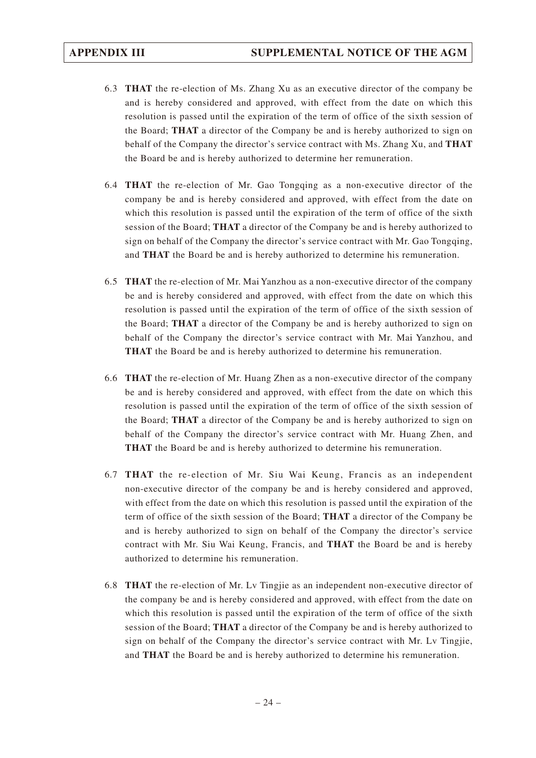- 6.3 **THAT** the re-election of Ms. Zhang Xu as an executive director of the company be and is hereby considered and approved, with effect from the date on which this resolution is passed until the expiration of the term of office of the sixth session of the Board; **THAT** a director of the Company be and is hereby authorized to sign on behalf of the Company the director's service contract with Ms. Zhang Xu, and **THAT** the Board be and is hereby authorized to determine her remuneration.
- 6.4 **THAT** the re-election of Mr. Gao Tongqing as a non-executive director of the company be and is hereby considered and approved, with effect from the date on which this resolution is passed until the expiration of the term of office of the sixth session of the Board; **THAT** a director of the Company be and is hereby authorized to sign on behalf of the Company the director's service contract with Mr. Gao Tongqing, and **THAT** the Board be and is hereby authorized to determine his remuneration.
- 6.5 **THAT** the re-election of Mr. Mai Yanzhou as a non-executive director of the company be and is hereby considered and approved, with effect from the date on which this resolution is passed until the expiration of the term of office of the sixth session of the Board; **THAT** a director of the Company be and is hereby authorized to sign on behalf of the Company the director's service contract with Mr. Mai Yanzhou, and **THAT** the Board be and is hereby authorized to determine his remuneration.
- 6.6 **THAT** the re-election of Mr. Huang Zhen as a non-executive director of the company be and is hereby considered and approved, with effect from the date on which this resolution is passed until the expiration of the term of office of the sixth session of the Board; **THAT** a director of the Company be and is hereby authorized to sign on behalf of the Company the director's service contract with Mr. Huang Zhen, and **THAT** the Board be and is hereby authorized to determine his remuneration.
- 6.7 **THAT** the re-election of Mr. Siu Wai Keung, Francis as an independent non-executive director of the company be and is hereby considered and approved, with effect from the date on which this resolution is passed until the expiration of the term of office of the sixth session of the Board; **THAT** a director of the Company be and is hereby authorized to sign on behalf of the Company the director's service contract with Mr. Siu Wai Keung, Francis, and **THAT** the Board be and is hereby authorized to determine his remuneration.
- 6.8 **THAT** the re-election of Mr. Lv Tingjie as an independent non-executive director of the company be and is hereby considered and approved, with effect from the date on which this resolution is passed until the expiration of the term of office of the sixth session of the Board; **THAT** a director of the Company be and is hereby authorized to sign on behalf of the Company the director's service contract with Mr. Lv Tingjie, and **THAT** the Board be and is hereby authorized to determine his remuneration.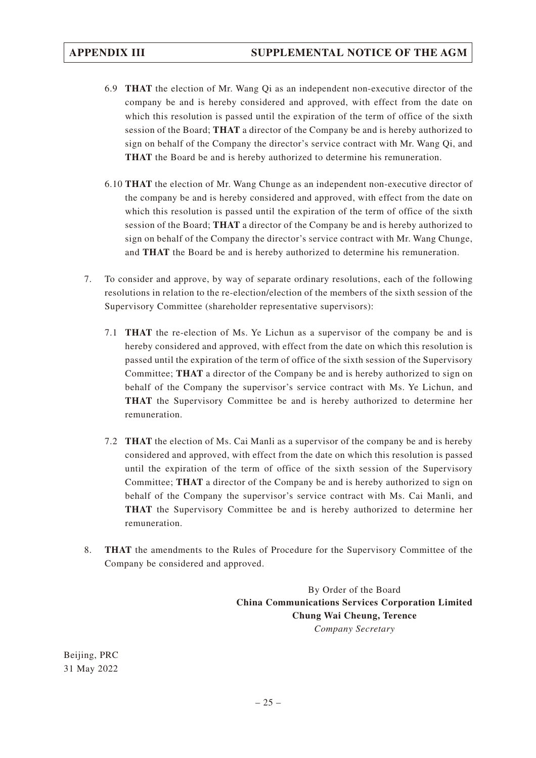- 6.9 **THAT** the election of Mr. Wang Qi as an independent non-executive director of the company be and is hereby considered and approved, with effect from the date on which this resolution is passed until the expiration of the term of office of the sixth session of the Board; **THAT** a director of the Company be and is hereby authorized to sign on behalf of the Company the director's service contract with Mr. Wang Qi, and **THAT** the Board be and is hereby authorized to determine his remuneration.
- 6.10 **THAT** the election of Mr. Wang Chunge as an independent non-executive director of the company be and is hereby considered and approved, with effect from the date on which this resolution is passed until the expiration of the term of office of the sixth session of the Board; **THAT** a director of the Company be and is hereby authorized to sign on behalf of the Company the director's service contract with Mr. Wang Chunge, and **THAT** the Board be and is hereby authorized to determine his remuneration.
- 7. To consider and approve, by way of separate ordinary resolutions, each of the following resolutions in relation to the re-election/election of the members of the sixth session of the Supervisory Committee (shareholder representative supervisors):
	- 7.1 **THAT** the re-election of Ms. Ye Lichun as a supervisor of the company be and is hereby considered and approved, with effect from the date on which this resolution is passed until the expiration of the term of office of the sixth session of the Supervisory Committee; **THAT** a director of the Company be and is hereby authorized to sign on behalf of the Company the supervisor's service contract with Ms. Ye Lichun, and **THAT** the Supervisory Committee be and is hereby authorized to determine her remuneration.
	- 7.2 **THAT** the election of Ms. Cai Manli as a supervisor of the company be and is hereby considered and approved, with effect from the date on which this resolution is passed until the expiration of the term of office of the sixth session of the Supervisory Committee; **THAT** a director of the Company be and is hereby authorized to sign on behalf of the Company the supervisor's service contract with Ms. Cai Manli, and **THAT** the Supervisory Committee be and is hereby authorized to determine her remuneration.
- 8. **THAT** the amendments to the Rules of Procedure for the Supervisory Committee of the Company be considered and approved.

By Order of the Board **China Communications Services Corporation Limited Chung Wai Cheung, Terence** *Company Secretary*

Beijing, PRC 31 May 2022